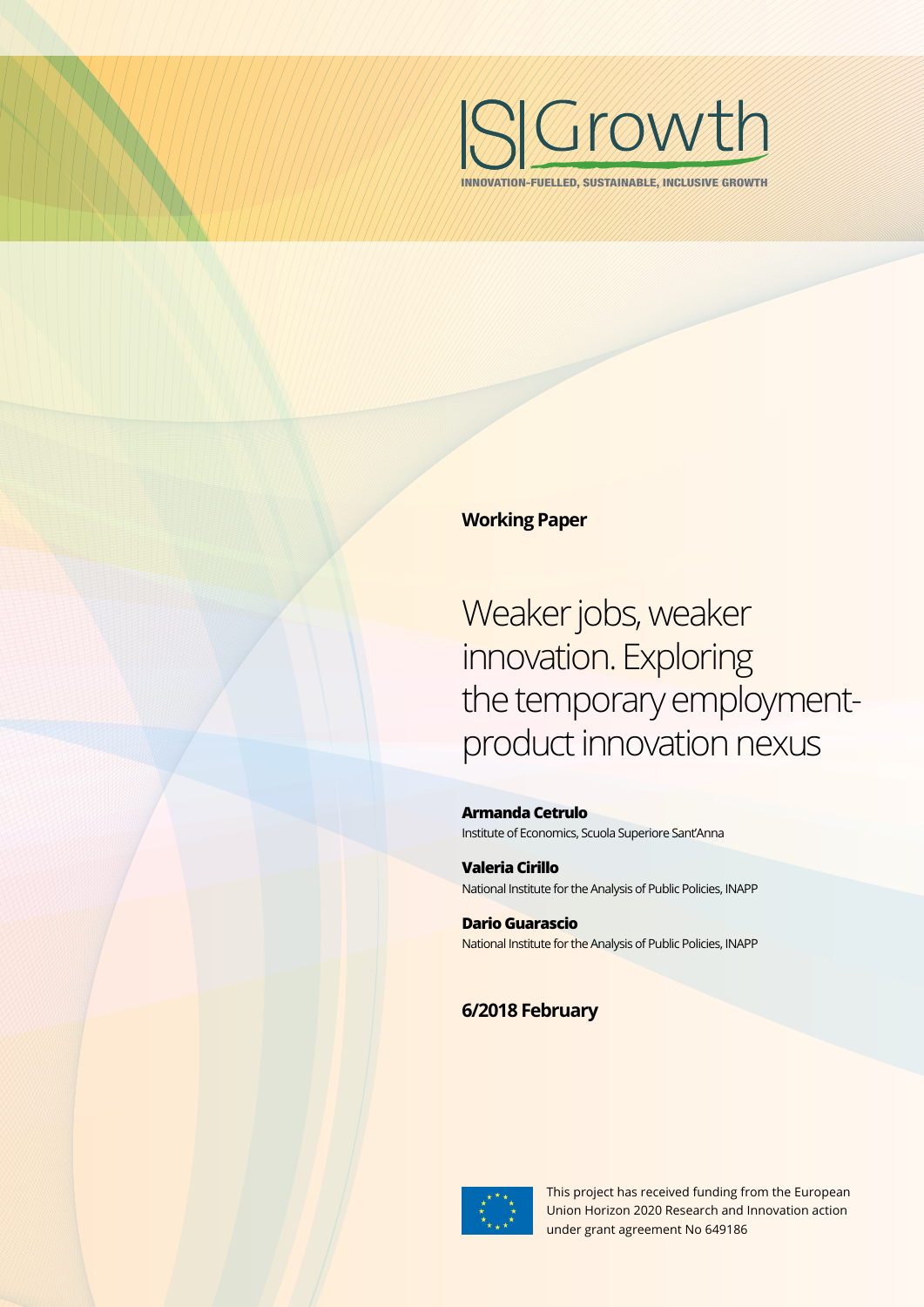

INNOVATION-FUELLED, SUSTAINABLE, INCLUSIVE GROWTH

#### **Working Paper**

Weaker jobs, weaker innovation. Exploring the temporary employmentproduct innovation nexus

**Armanda Cetrulo** Institute of Economics, Scuola Superiore Sant'Anna

**Valeria Cirillo** National Institute for the Analysis of Public Policies, INAPP

**Dario Guarascio** National Institute for the Analysis of Public Policies, INAPP

### **6/2018 February**



This project has received funding from the European Union Horizon 2020 Research and Innovation action under grant agreement No 649186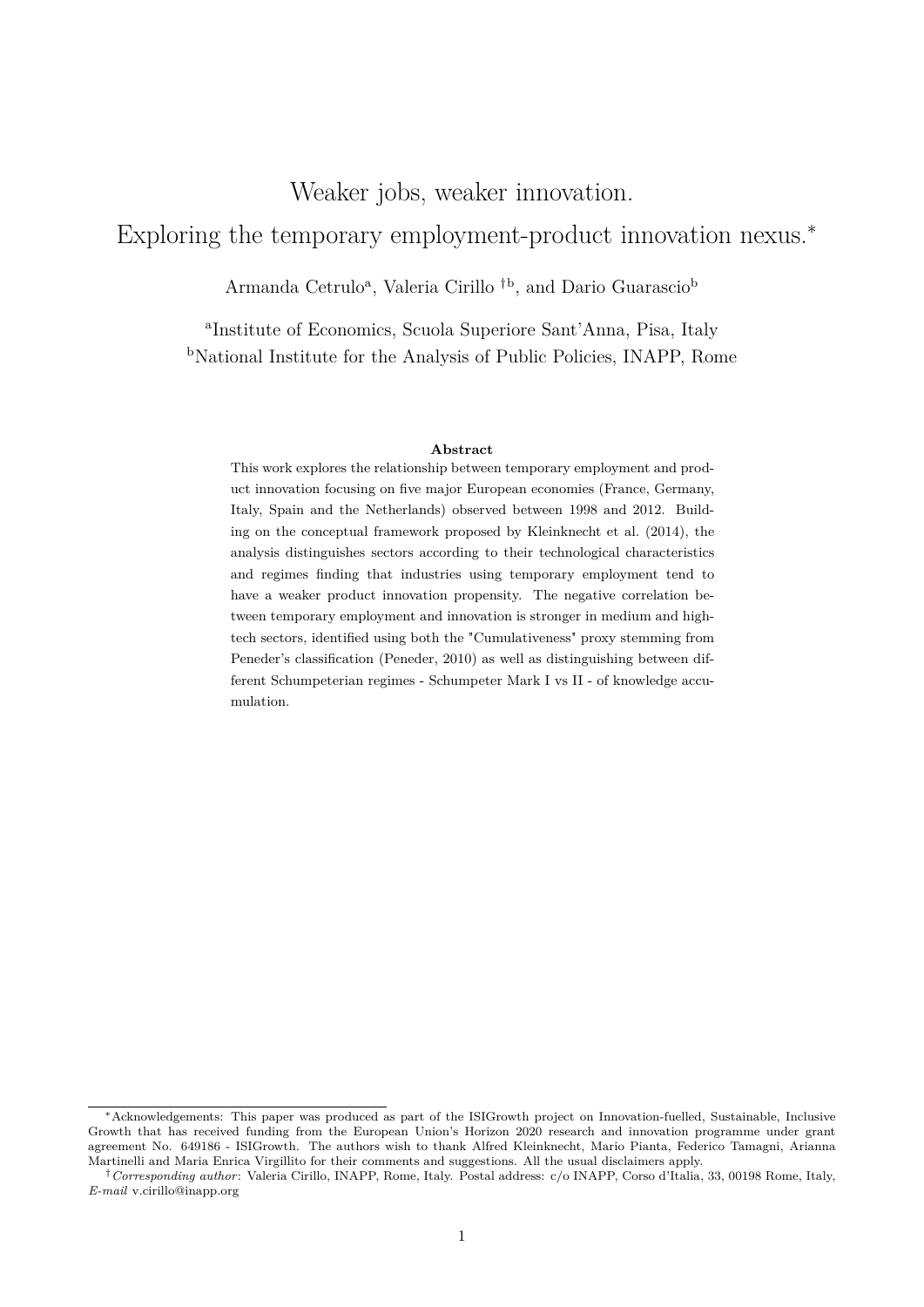## Weaker jobs, weaker innovation.

# Exploring the temporary employment-product innovation nexus.<sup>∗</sup>

Armanda Cetrulo<sup>a</sup>, Valeria Cirillo<sup>†b</sup>, and Dario Guarascio<sup>b</sup>

a Institute of Economics, Scuola Superiore Sant'Anna, Pisa, Italy <sup>b</sup>National Institute for the Analysis of Public Policies, INAPP, Rome

#### **Abstract**

This work explores the relationship between temporary employment and product innovation focusing on five major European economies (France, Germany, Italy, Spain and the Netherlands) observed between 1998 and 2012. Building on the conceptual framework proposed by Kleinknecht et al. (2014), the analysis distinguishes sectors according to their technological characteristics and regimes finding that industries using temporary employment tend to have a weaker product innovation propensity. The negative correlation between temporary employment and innovation is stronger in medium and hightech sectors, identified using both the "Cumulativeness" proxy stemming from Peneder's classification (Peneder, 2010) as well as distinguishing between different Schumpeterian regimes - Schumpeter Mark I vs II - of knowledge accumulation.

<sup>∗</sup>Acknowledgements: This paper was produced as part of the ISIGrowth project on Innovation-fuelled, Sustainable, Inclusive Growth that has received funding from the European Union's Horizon 2020 research and innovation programme under grant agreement No. 649186 - ISIGrowth. The authors wish to thank Alfred Kleinknecht, Mario Pianta, Federico Tamagni, Arianna Martinelli and Maria Enrica Virgillito for their comments and suggestions. All the usual disclaimers apply.

<sup>†</sup>*Corresponding author*: Valeria Cirillo, INAPP, Rome, Italy. Postal address: c/o INAPP, Corso d'Italia, 33, 00198 Rome, Italy, *E-mail* v.cirillo@inapp.org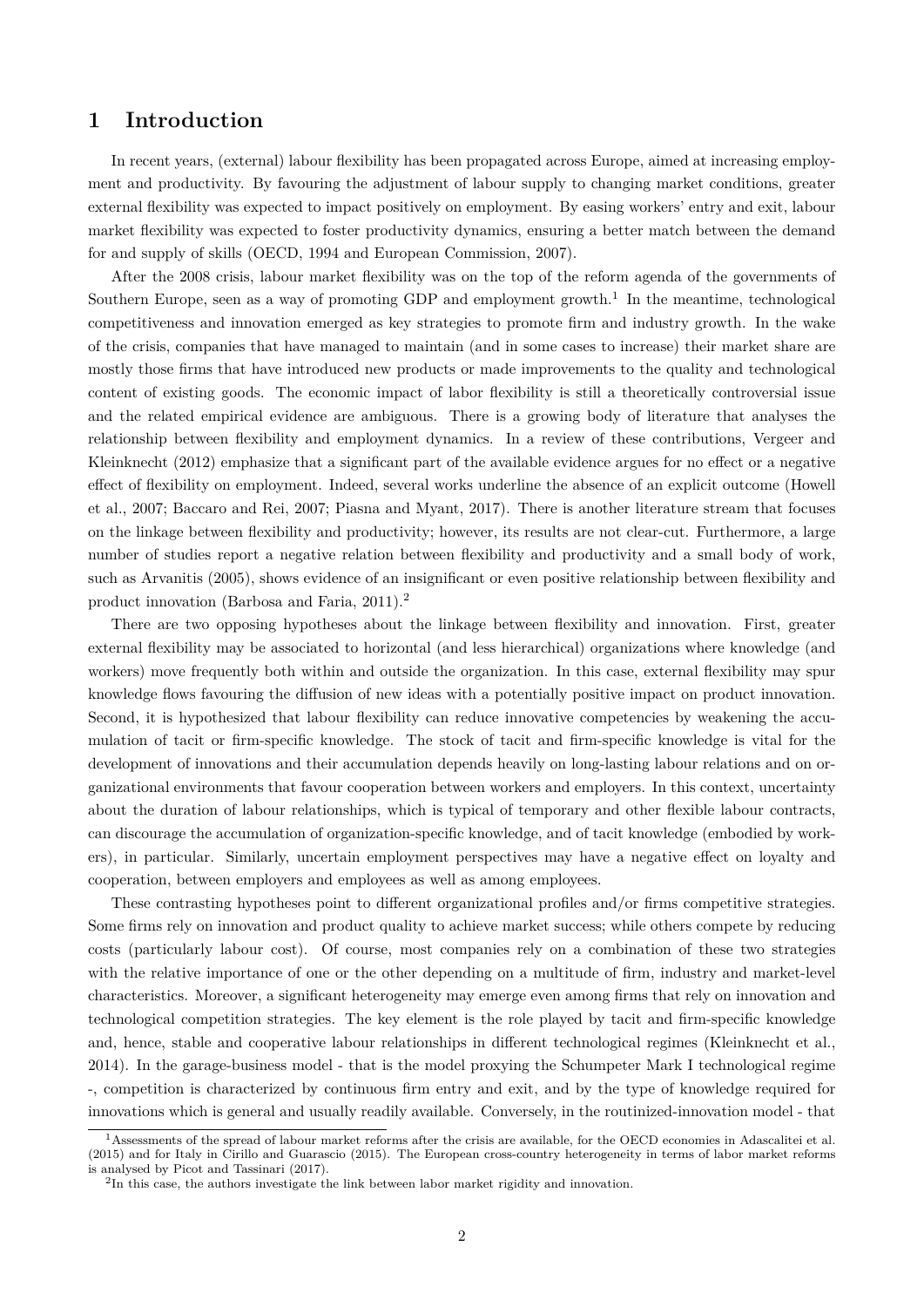#### **1 Introduction**

In recent years, (external) labour flexibility has been propagated across Europe, aimed at increasing employment and productivity. By favouring the adjustment of labour supply to changing market conditions, greater external flexibility was expected to impact positively on employment. By easing workers' entry and exit, labour market flexibility was expected to foster productivity dynamics, ensuring a better match between the demand for and supply of skills (OECD, 1994 and European Commission, 2007).

After the 2008 crisis, labour market flexibility was on the top of the reform agenda of the governments of Southern Europe, seen as a way of promoting GDP and employment growth.<sup>1</sup> In the meantime, technological competitiveness and innovation emerged as key strategies to promote firm and industry growth. In the wake of the crisis, companies that have managed to maintain (and in some cases to increase) their market share are mostly those firms that have introduced new products or made improvements to the quality and technological content of existing goods. The economic impact of labor flexibility is still a theoretically controversial issue and the related empirical evidence are ambiguous. There is a growing body of literature that analyses the relationship between flexibility and employment dynamics. In a review of these contributions, Vergeer and Kleinknecht (2012) emphasize that a significant part of the available evidence argues for no effect or a negative effect of flexibility on employment. Indeed, several works underline the absence of an explicit outcome (Howell et al., 2007; Baccaro and Rei, 2007; Piasna and Myant, 2017). There is another literature stream that focuses on the linkage between flexibility and productivity; however, its results are not clear-cut. Furthermore, a large number of studies report a negative relation between flexibility and productivity and a small body of work, such as Arvanitis (2005), shows evidence of an insignificant or even positive relationship between flexibility and product innovation (Barbosa and Faria, 2011).<sup>2</sup>

There are two opposing hypotheses about the linkage between flexibility and innovation. First, greater external flexibility may be associated to horizontal (and less hierarchical) organizations where knowledge (and workers) move frequently both within and outside the organization. In this case, external flexibility may spur knowledge flows favouring the diffusion of new ideas with a potentially positive impact on product innovation. Second, it is hypothesized that labour flexibility can reduce innovative competencies by weakening the accumulation of tacit or firm-specific knowledge. The stock of tacit and firm-specific knowledge is vital for the development of innovations and their accumulation depends heavily on long-lasting labour relations and on organizational environments that favour cooperation between workers and employers. In this context, uncertainty about the duration of labour relationships, which is typical of temporary and other flexible labour contracts, can discourage the accumulation of organization-specific knowledge, and of tacit knowledge (embodied by workers), in particular. Similarly, uncertain employment perspectives may have a negative effect on loyalty and cooperation, between employers and employees as well as among employees.

These contrasting hypotheses point to different organizational profiles and/or firms competitive strategies. Some firms rely on innovation and product quality to achieve market success; while others compete by reducing costs (particularly labour cost). Of course, most companies rely on a combination of these two strategies with the relative importance of one or the other depending on a multitude of firm, industry and market-level characteristics. Moreover, a significant heterogeneity may emerge even among firms that rely on innovation and technological competition strategies. The key element is the role played by tacit and firm-specific knowledge and, hence, stable and cooperative labour relationships in different technological regimes (Kleinknecht et al., 2014). In the garage-business model - that is the model proxying the Schumpeter Mark I technological regime -, competition is characterized by continuous firm entry and exit, and by the type of knowledge required for innovations which is general and usually readily available. Conversely, in the routinized-innovation model - that

<sup>&</sup>lt;sup>1</sup>Assessments of the spread of labour market reforms after the crisis are available, for the OECD economies in Adascalitei et al. (2015) and for Italy in Cirillo and Guarascio (2015). The European cross-country heterogeneity in terms of labor market reforms is analysed by Picot and Tassinari (2017).

<sup>&</sup>lt;sup>2</sup>In this case, the authors investigate the link between labor market rigidity and innovation.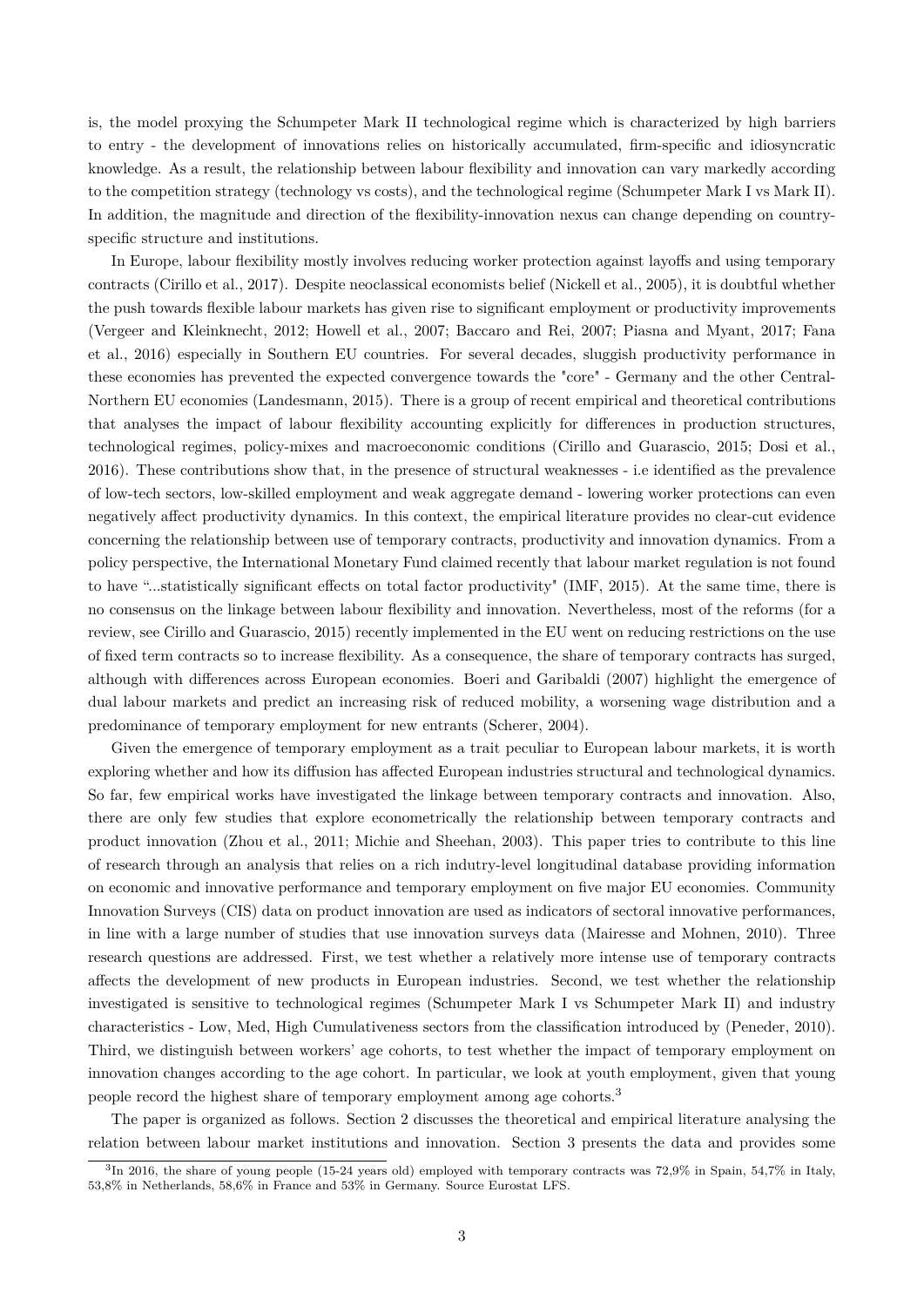is, the model proxying the Schumpeter Mark II technological regime which is characterized by high barriers to entry - the development of innovations relies on historically accumulated, firm-specific and idiosyncratic knowledge. As a result, the relationship between labour flexibility and innovation can vary markedly according to the competition strategy (technology vs costs), and the technological regime (Schumpeter Mark I vs Mark II). In addition, the magnitude and direction of the flexibility-innovation nexus can change depending on countryspecific structure and institutions.

In Europe, labour flexibility mostly involves reducing worker protection against layoffs and using temporary contracts (Cirillo et al., 2017). Despite neoclassical economists belief (Nickell et al., 2005), it is doubtful whether the push towards flexible labour markets has given rise to significant employment or productivity improvements (Vergeer and Kleinknecht, 2012; Howell et al., 2007; Baccaro and Rei, 2007; Piasna and Myant, 2017; Fana et al., 2016) especially in Southern EU countries. For several decades, sluggish productivity performance in these economies has prevented the expected convergence towards the "core" - Germany and the other Central-Northern EU economies (Landesmann, 2015). There is a group of recent empirical and theoretical contributions that analyses the impact of labour flexibility accounting explicitly for differences in production structures, technological regimes, policy-mixes and macroeconomic conditions (Cirillo and Guarascio, 2015; Dosi et al., 2016). These contributions show that, in the presence of structural weaknesses - i.e identified as the prevalence of low-tech sectors, low-skilled employment and weak aggregate demand - lowering worker protections can even negatively affect productivity dynamics. In this context, the empirical literature provides no clear-cut evidence concerning the relationship between use of temporary contracts, productivity and innovation dynamics. From a policy perspective, the International Monetary Fund claimed recently that labour market regulation is not found to have "...statistically significant effects on total factor productivity" (IMF, 2015). At the same time, there is no consensus on the linkage between labour flexibility and innovation. Nevertheless, most of the reforms (for a review, see Cirillo and Guarascio, 2015) recently implemented in the EU went on reducing restrictions on the use of fixed term contracts so to increase flexibility. As a consequence, the share of temporary contracts has surged, although with differences across European economies. Boeri and Garibaldi (2007) highlight the emergence of dual labour markets and predict an increasing risk of reduced mobility, a worsening wage distribution and a predominance of temporary employment for new entrants (Scherer, 2004).

Given the emergence of temporary employment as a trait peculiar to European labour markets, it is worth exploring whether and how its diffusion has affected European industries structural and technological dynamics. So far, few empirical works have investigated the linkage between temporary contracts and innovation. Also, there are only few studies that explore econometrically the relationship between temporary contracts and product innovation (Zhou et al., 2011; Michie and Sheehan, 2003). This paper tries to contribute to this line of research through an analysis that relies on a rich indutry-level longitudinal database providing information on economic and innovative performance and temporary employment on five major EU economies. Community Innovation Surveys (CIS) data on product innovation are used as indicators of sectoral innovative performances, in line with a large number of studies that use innovation surveys data (Mairesse and Mohnen, 2010). Three research questions are addressed. First, we test whether a relatively more intense use of temporary contracts affects the development of new products in European industries. Second, we test whether the relationship investigated is sensitive to technological regimes (Schumpeter Mark I vs Schumpeter Mark II) and industry characteristics - Low, Med, High Cumulativeness sectors from the classification introduced by (Peneder, 2010). Third, we distinguish between workers' age cohorts, to test whether the impact of temporary employment on innovation changes according to the age cohort. In particular, we look at youth employment, given that young people record the highest share of temporary employment among age cohorts.<sup>3</sup>

The paper is organized as follows. Section 2 discusses the theoretical and empirical literature analysing the relation between labour market institutions and innovation. Section 3 presents the data and provides some

 ${}^{3}$ In 2016, the share of young people (15-24 years old) employed with temporary contracts was 72,9% in Spain, 54,7% in Italy, 53,8% in Netherlands, 58,6% in France and 53% in Germany. Source Eurostat LFS.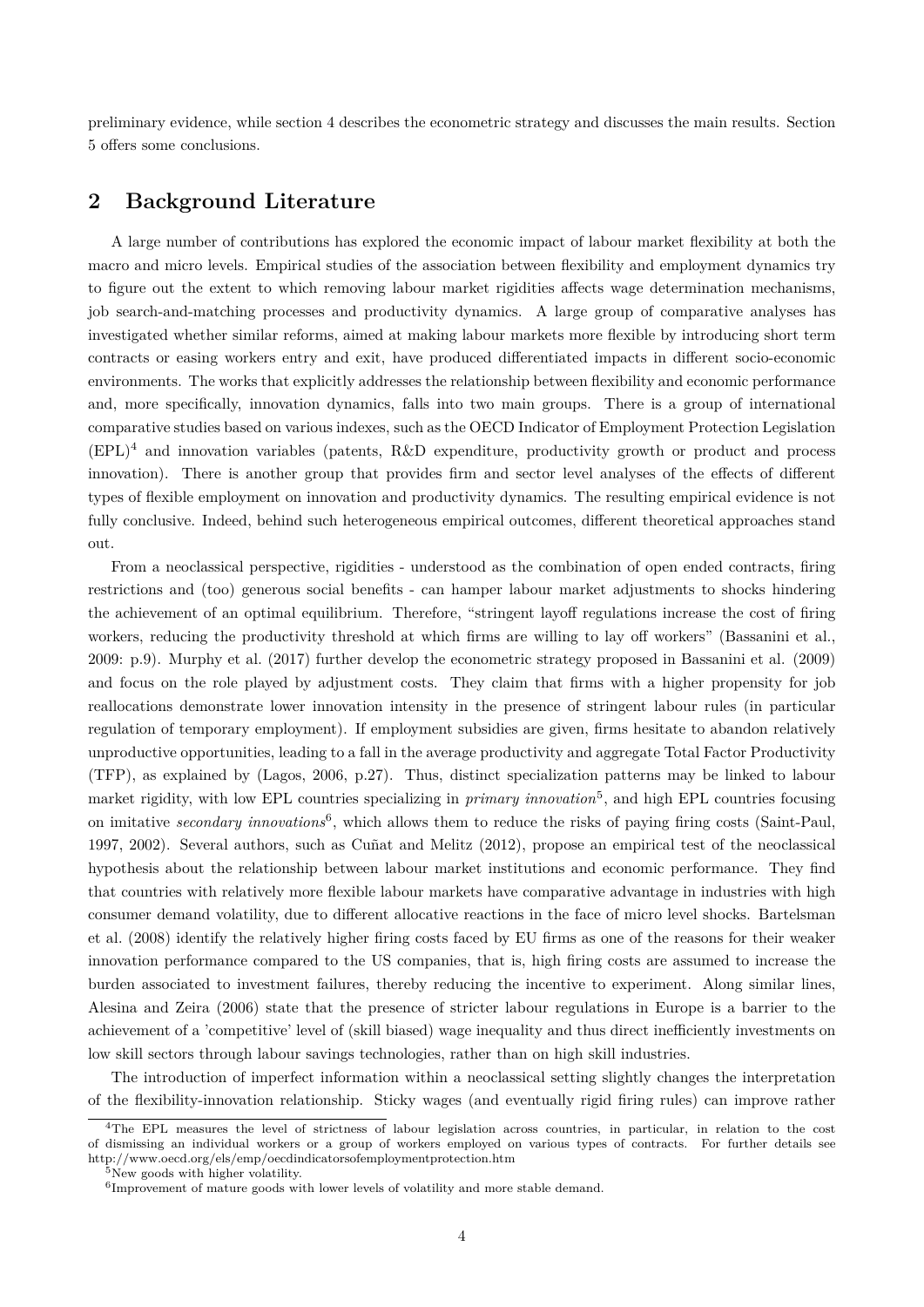preliminary evidence, while section 4 describes the econometric strategy and discusses the main results. Section 5 offers some conclusions.

### **2 Background Literature**

A large number of contributions has explored the economic impact of labour market flexibility at both the macro and micro levels. Empirical studies of the association between flexibility and employment dynamics try to figure out the extent to which removing labour market rigidities affects wage determination mechanisms, job search-and-matching processes and productivity dynamics. A large group of comparative analyses has investigated whether similar reforms, aimed at making labour markets more flexible by introducing short term contracts or easing workers entry and exit, have produced differentiated impacts in different socio-economic environments. The works that explicitly addresses the relationship between flexibility and economic performance and, more specifically, innovation dynamics, falls into two main groups. There is a group of international comparative studies based on various indexes, such as the OECD Indicator of Employment Protection Legislation (EPL)<sup>4</sup> and innovation variables (patents, R&D expenditure, productivity growth or product and process innovation). There is another group that provides firm and sector level analyses of the effects of different types of flexible employment on innovation and productivity dynamics. The resulting empirical evidence is not fully conclusive. Indeed, behind such heterogeneous empirical outcomes, different theoretical approaches stand out.

From a neoclassical perspective, rigidities - understood as the combination of open ended contracts, firing restrictions and (too) generous social benefits - can hamper labour market adjustments to shocks hindering the achievement of an optimal equilibrium. Therefore, "stringent layoff regulations increase the cost of firing workers, reducing the productivity threshold at which firms are willing to lay off workers" (Bassanini et al., 2009: p.9). Murphy et al. (2017) further develop the econometric strategy proposed in Bassanini et al. (2009) and focus on the role played by adjustment costs. They claim that firms with a higher propensity for job reallocations demonstrate lower innovation intensity in the presence of stringent labour rules (in particular regulation of temporary employment). If employment subsidies are given, firms hesitate to abandon relatively unproductive opportunities, leading to a fall in the average productivity and aggregate Total Factor Productivity (TFP), as explained by (Lagos, 2006, p.27). Thus, distinct specialization patterns may be linked to labour market rigidity, with low EPL countries specializing in *primary innovation*<sup>5</sup> , and high EPL countries focusing on imitative *secondary innovations*<sup>6</sup> , which allows them to reduce the risks of paying firing costs (Saint-Paul, 1997, 2002). Several authors, such as Cuñat and Melitz (2012), propose an empirical test of the neoclassical hypothesis about the relationship between labour market institutions and economic performance. They find that countries with relatively more flexible labour markets have comparative advantage in industries with high consumer demand volatility, due to different allocative reactions in the face of micro level shocks. Bartelsman et al. (2008) identify the relatively higher firing costs faced by EU firms as one of the reasons for their weaker innovation performance compared to the US companies, that is, high firing costs are assumed to increase the burden associated to investment failures, thereby reducing the incentive to experiment. Along similar lines, Alesina and Zeira (2006) state that the presence of stricter labour regulations in Europe is a barrier to the achievement of a 'competitive' level of (skill biased) wage inequality and thus direct inefficiently investments on low skill sectors through labour savings technologies, rather than on high skill industries.

The introduction of imperfect information within a neoclassical setting slightly changes the interpretation of the flexibility-innovation relationship. Sticky wages (and eventually rigid firing rules) can improve rather

<sup>&</sup>lt;sup>4</sup>The EPL measures the level of strictness of labour legislation across countries, in particular, in relation to the cost of dismissing an individual workers or a group of workers employed on various types of contracts. For further details see http://www.oecd.org/els/emp/oecdindicatorsofemploymentprotection.htm

 $5$ New goods with higher volatility.

<sup>6</sup> Improvement of mature goods with lower levels of volatility and more stable demand.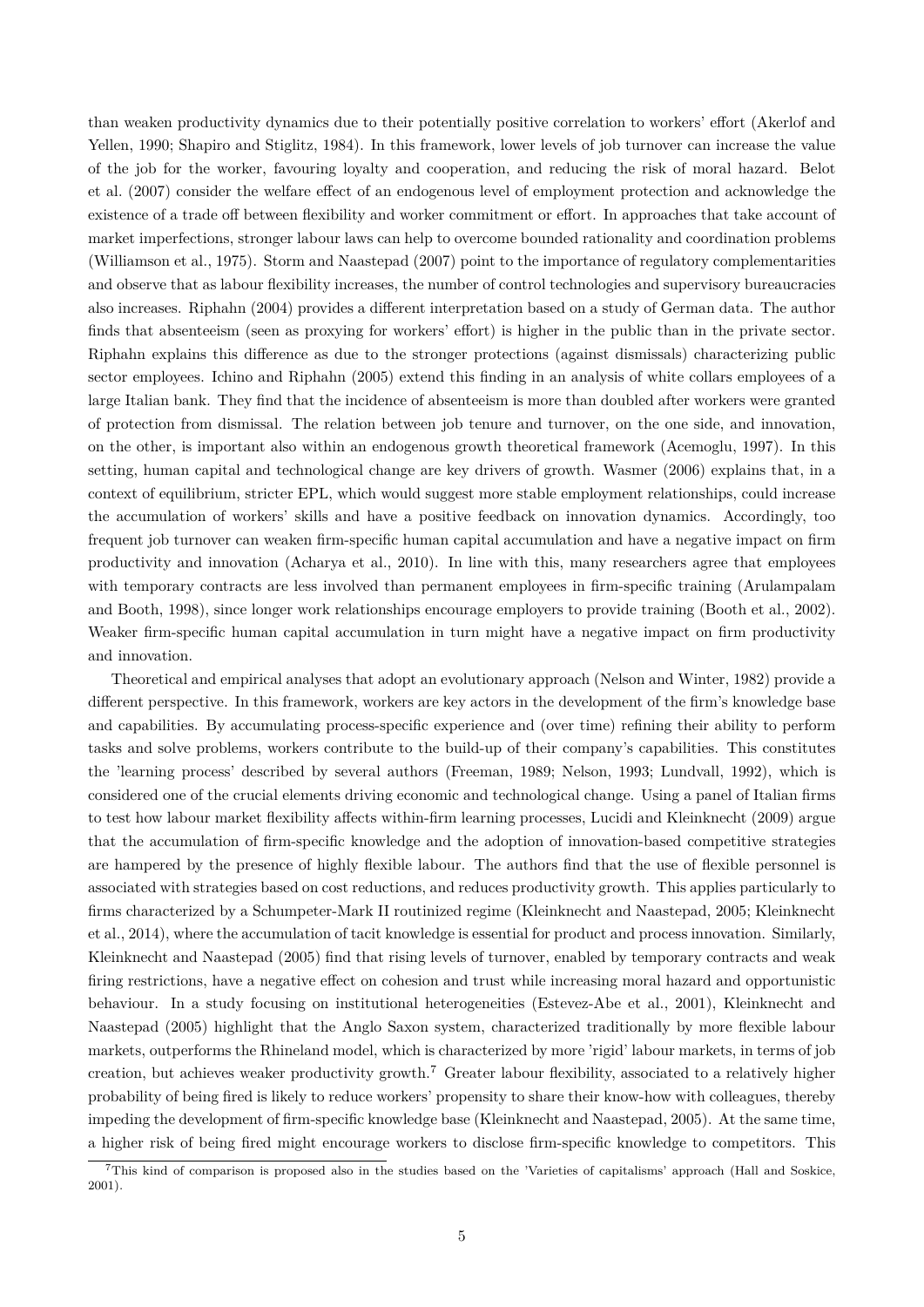than weaken productivity dynamics due to their potentially positive correlation to workers' effort (Akerlof and Yellen, 1990; Shapiro and Stiglitz, 1984). In this framework, lower levels of job turnover can increase the value of the job for the worker, favouring loyalty and cooperation, and reducing the risk of moral hazard. Belot et al. (2007) consider the welfare effect of an endogenous level of employment protection and acknowledge the existence of a trade off between flexibility and worker commitment or effort. In approaches that take account of market imperfections, stronger labour laws can help to overcome bounded rationality and coordination problems (Williamson et al., 1975). Storm and Naastepad (2007) point to the importance of regulatory complementarities and observe that as labour flexibility increases, the number of control technologies and supervisory bureaucracies also increases. Riphahn (2004) provides a different interpretation based on a study of German data. The author finds that absenteeism (seen as proxying for workers' effort) is higher in the public than in the private sector. Riphahn explains this difference as due to the stronger protections (against dismissals) characterizing public sector employees. Ichino and Riphahn (2005) extend this finding in an analysis of white collars employees of a large Italian bank. They find that the incidence of absenteeism is more than doubled after workers were granted of protection from dismissal. The relation between job tenure and turnover, on the one side, and innovation, on the other, is important also within an endogenous growth theoretical framework (Acemoglu, 1997). In this setting, human capital and technological change are key drivers of growth. Wasmer (2006) explains that, in a context of equilibrium, stricter EPL, which would suggest more stable employment relationships, could increase the accumulation of workers' skills and have a positive feedback on innovation dynamics. Accordingly, too frequent job turnover can weaken firm-specific human capital accumulation and have a negative impact on firm productivity and innovation (Acharya et al., 2010). In line with this, many researchers agree that employees with temporary contracts are less involved than permanent employees in firm-specific training (Arulampalam and Booth, 1998), since longer work relationships encourage employers to provide training (Booth et al., 2002). Weaker firm-specific human capital accumulation in turn might have a negative impact on firm productivity and innovation.

Theoretical and empirical analyses that adopt an evolutionary approach (Nelson and Winter, 1982) provide a different perspective. In this framework, workers are key actors in the development of the firm's knowledge base and capabilities. By accumulating process-specific experience and (over time) refining their ability to perform tasks and solve problems, workers contribute to the build-up of their company's capabilities. This constitutes the 'learning process' described by several authors (Freeman, 1989; Nelson, 1993; Lundvall, 1992), which is considered one of the crucial elements driving economic and technological change. Using a panel of Italian firms to test how labour market flexibility affects within-firm learning processes, Lucidi and Kleinknecht (2009) argue that the accumulation of firm-specific knowledge and the adoption of innovation-based competitive strategies are hampered by the presence of highly flexible labour. The authors find that the use of flexible personnel is associated with strategies based on cost reductions, and reduces productivity growth. This applies particularly to firms characterized by a Schumpeter-Mark II routinized regime (Kleinknecht and Naastepad, 2005; Kleinknecht et al., 2014), where the accumulation of tacit knowledge is essential for product and process innovation. Similarly, Kleinknecht and Naastepad (2005) find that rising levels of turnover, enabled by temporary contracts and weak firing restrictions, have a negative effect on cohesion and trust while increasing moral hazard and opportunistic behaviour. In a study focusing on institutional heterogeneities (Estevez-Abe et al., 2001), Kleinknecht and Naastepad (2005) highlight that the Anglo Saxon system, characterized traditionally by more flexible labour markets, outperforms the Rhineland model, which is characterized by more 'rigid' labour markets, in terms of job creation, but achieves weaker productivity growth.<sup>7</sup> Greater labour flexibility, associated to a relatively higher probability of being fired is likely to reduce workers' propensity to share their know-how with colleagues, thereby impeding the development of firm-specific knowledge base (Kleinknecht and Naastepad, 2005). At the same time, a higher risk of being fired might encourage workers to disclose firm-specific knowledge to competitors. This

<sup>7</sup>This kind of comparison is proposed also in the studies based on the 'Varieties of capitalisms' approach (Hall and Soskice, 2001).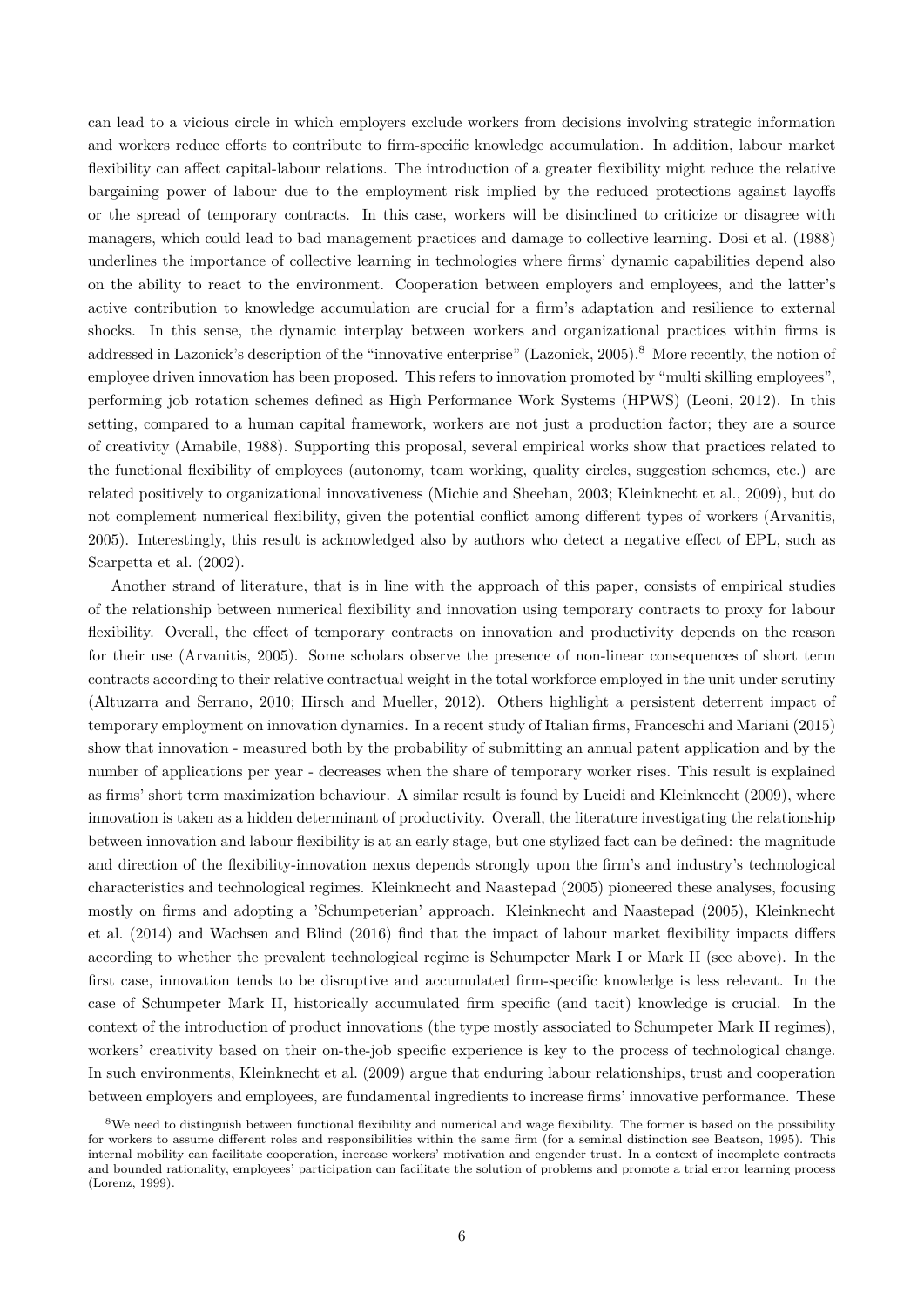can lead to a vicious circle in which employers exclude workers from decisions involving strategic information and workers reduce efforts to contribute to firm-specific knowledge accumulation. In addition, labour market flexibility can affect capital-labour relations. The introduction of a greater flexibility might reduce the relative bargaining power of labour due to the employment risk implied by the reduced protections against layoffs or the spread of temporary contracts. In this case, workers will be disinclined to criticize or disagree with managers, which could lead to bad management practices and damage to collective learning. Dosi et al. (1988) underlines the importance of collective learning in technologies where firms' dynamic capabilities depend also on the ability to react to the environment. Cooperation between employers and employees, and the latter's active contribution to knowledge accumulation are crucial for a firm's adaptation and resilience to external shocks. In this sense, the dynamic interplay between workers and organizational practices within firms is addressed in Lazonick's description of the "innovative enterprise" (Lazonick, 2005).<sup>8</sup> More recently, the notion of employee driven innovation has been proposed. This refers to innovation promoted by "multi skilling employees", performing job rotation schemes defined as High Performance Work Systems (HPWS) (Leoni, 2012). In this setting, compared to a human capital framework, workers are not just a production factor; they are a source of creativity (Amabile, 1988). Supporting this proposal, several empirical works show that practices related to the functional flexibility of employees (autonomy, team working, quality circles, suggestion schemes, etc.) are related positively to organizational innovativeness (Michie and Sheehan, 2003; Kleinknecht et al., 2009), but do not complement numerical flexibility, given the potential conflict among different types of workers (Arvanitis, 2005). Interestingly, this result is acknowledged also by authors who detect a negative effect of EPL, such as Scarpetta et al. (2002).

Another strand of literature, that is in line with the approach of this paper, consists of empirical studies of the relationship between numerical flexibility and innovation using temporary contracts to proxy for labour flexibility. Overall, the effect of temporary contracts on innovation and productivity depends on the reason for their use (Arvanitis, 2005). Some scholars observe the presence of non-linear consequences of short term contracts according to their relative contractual weight in the total workforce employed in the unit under scrutiny (Altuzarra and Serrano, 2010; Hirsch and Mueller, 2012). Others highlight a persistent deterrent impact of temporary employment on innovation dynamics. In a recent study of Italian firms, Franceschi and Mariani (2015) show that innovation - measured both by the probability of submitting an annual patent application and by the number of applications per year - decreases when the share of temporary worker rises. This result is explained as firms' short term maximization behaviour. A similar result is found by Lucidi and Kleinknecht (2009), where innovation is taken as a hidden determinant of productivity. Overall, the literature investigating the relationship between innovation and labour flexibility is at an early stage, but one stylized fact can be defined: the magnitude and direction of the flexibility-innovation nexus depends strongly upon the firm's and industry's technological characteristics and technological regimes. Kleinknecht and Naastepad (2005) pioneered these analyses, focusing mostly on firms and adopting a 'Schumpeterian' approach. Kleinknecht and Naastepad (2005), Kleinknecht et al. (2014) and Wachsen and Blind (2016) find that the impact of labour market flexibility impacts differs according to whether the prevalent technological regime is Schumpeter Mark I or Mark II (see above). In the first case, innovation tends to be disruptive and accumulated firm-specific knowledge is less relevant. In the case of Schumpeter Mark II, historically accumulated firm specific (and tacit) knowledge is crucial. In the context of the introduction of product innovations (the type mostly associated to Schumpeter Mark II regimes), workers' creativity based on their on-the-job specific experience is key to the process of technological change. In such environments, Kleinknecht et al. (2009) argue that enduring labour relationships, trust and cooperation between employers and employees, are fundamental ingredients to increase firms' innovative performance. These

<sup>&</sup>lt;sup>8</sup>We need to distinguish between functional flexibility and numerical and wage flexibility. The former is based on the possibility for workers to assume different roles and responsibilities within the same firm (for a seminal distinction see Beatson, 1995). This internal mobility can facilitate cooperation, increase workers' motivation and engender trust. In a context of incomplete contracts and bounded rationality, employees' participation can facilitate the solution of problems and promote a trial error learning process (Lorenz, 1999).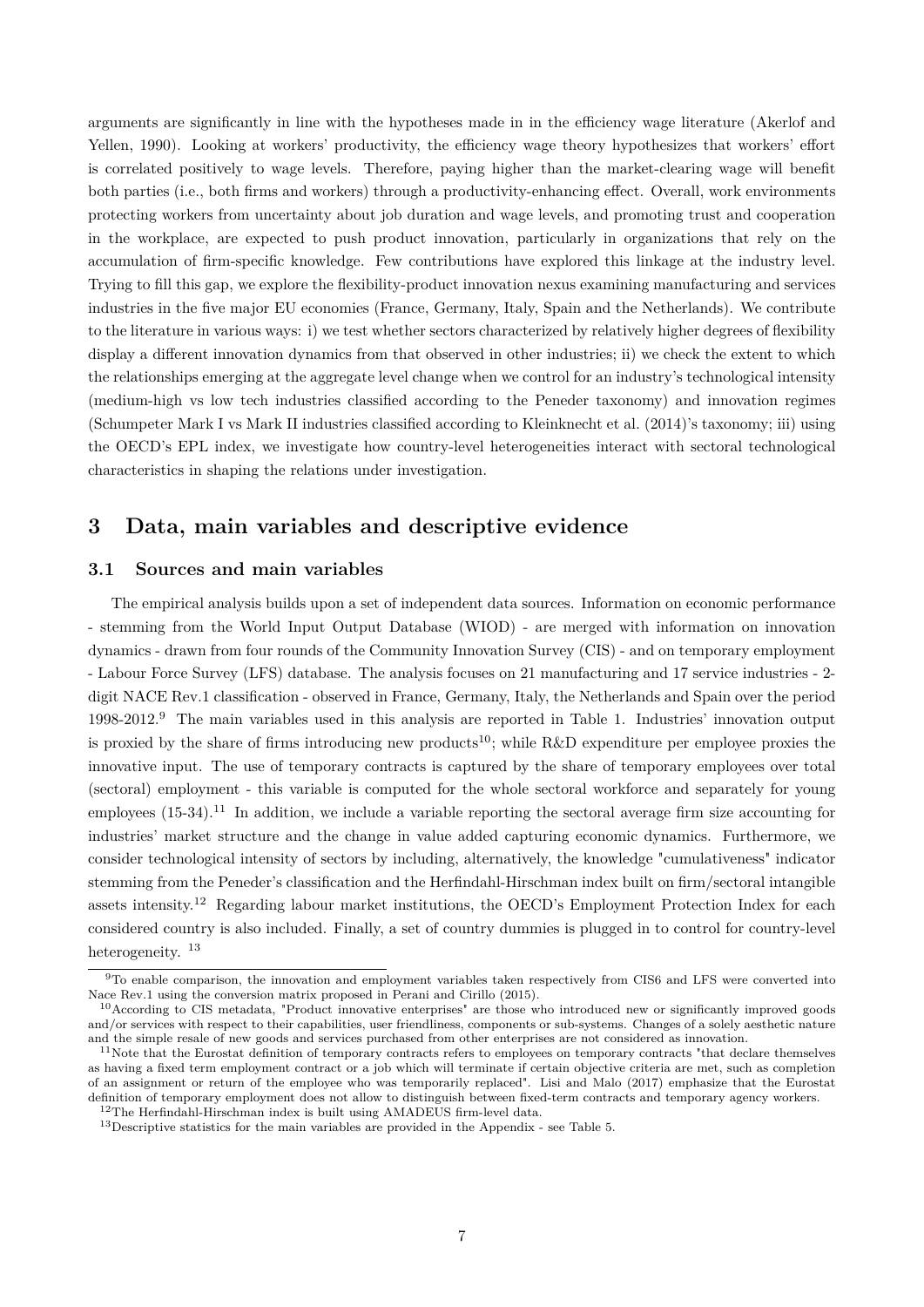arguments are significantly in line with the hypotheses made in in the efficiency wage literature (Akerlof and Yellen, 1990). Looking at workers' productivity, the efficiency wage theory hypothesizes that workers' effort is correlated positively to wage levels. Therefore, paying higher than the market-clearing wage will benefit both parties (i.e., both firms and workers) through a productivity-enhancing effect. Overall, work environments protecting workers from uncertainty about job duration and wage levels, and promoting trust and cooperation in the workplace, are expected to push product innovation, particularly in organizations that rely on the accumulation of firm-specific knowledge. Few contributions have explored this linkage at the industry level. Trying to fill this gap, we explore the flexibility-product innovation nexus examining manufacturing and services industries in the five major EU economies (France, Germany, Italy, Spain and the Netherlands). We contribute to the literature in various ways: i) we test whether sectors characterized by relatively higher degrees of flexibility display a different innovation dynamics from that observed in other industries; ii) we check the extent to which the relationships emerging at the aggregate level change when we control for an industry's technological intensity (medium-high vs low tech industries classified according to the Peneder taxonomy) and innovation regimes (Schumpeter Mark I vs Mark II industries classified according to Kleinknecht et al. (2014)'s taxonomy; iii) using the OECD's EPL index, we investigate how country-level heterogeneities interact with sectoral technological characteristics in shaping the relations under investigation.

### **3 Data, main variables and descriptive evidence**

#### **3.1 Sources and main variables**

The empirical analysis builds upon a set of independent data sources. Information on economic performance - stemming from the World Input Output Database (WIOD) - are merged with information on innovation dynamics - drawn from four rounds of the Community Innovation Survey (CIS) - and on temporary employment - Labour Force Survey (LFS) database. The analysis focuses on 21 manufacturing and 17 service industries - 2 digit NACE Rev.1 classification - observed in France, Germany, Italy, the Netherlands and Spain over the period 1998-2012.<sup>9</sup> The main variables used in this analysis are reported in Table 1. Industries' innovation output is proxied by the share of firms introducing new products<sup>10</sup>; while R&D expenditure per employee proxies the innovative input. The use of temporary contracts is captured by the share of temporary employees over total (sectoral) employment - this variable is computed for the whole sectoral workforce and separately for young employees  $(15-34).^{11}$  In addition, we include a variable reporting the sectoral average firm size accounting for industries' market structure and the change in value added capturing economic dynamics. Furthermore, we consider technological intensity of sectors by including, alternatively, the knowledge "cumulativeness" indicator stemming from the Peneder's classification and the Herfindahl-Hirschman index built on firm/sectoral intangible assets intensity.<sup>12</sup> Regarding labour market institutions, the OECD's Employment Protection Index for each considered country is also included. Finally, a set of country dummies is plugged in to control for country-level heterogeneity.<sup>13</sup>

<sup>9</sup>To enable comparison, the innovation and employment variables taken respectively from CIS6 and LFS were converted into Nace Rev.1 using the conversion matrix proposed in Perani and Cirillo (2015).

<sup>10</sup>According to CIS metadata, "Product innovative enterprises" are those who introduced new or significantly improved goods and/or services with respect to their capabilities, user friendliness, components or sub-systems. Changes of a solely aesthetic nature and the simple resale of new goods and services purchased from other enterprises are not considered as innovation.

 $11$ Note that the Eurostat definition of temporary contracts refers to employees on temporary contracts "that declare themselves as having a fixed term employment contract or a job which will terminate if certain objective criteria are met, such as completion of an assignment or return of the employee who was temporarily replaced". Lisi and Malo (2017) emphasize that the Eurostat definition of temporary employment does not allow to distinguish between fixed-term contracts and temporary agency workers. <sup>12</sup>The Herfindahl-Hirschman index is built using AMADEUS firm-level data.

<sup>13</sup>Descriptive statistics for the main variables are provided in the Appendix - see Table 5.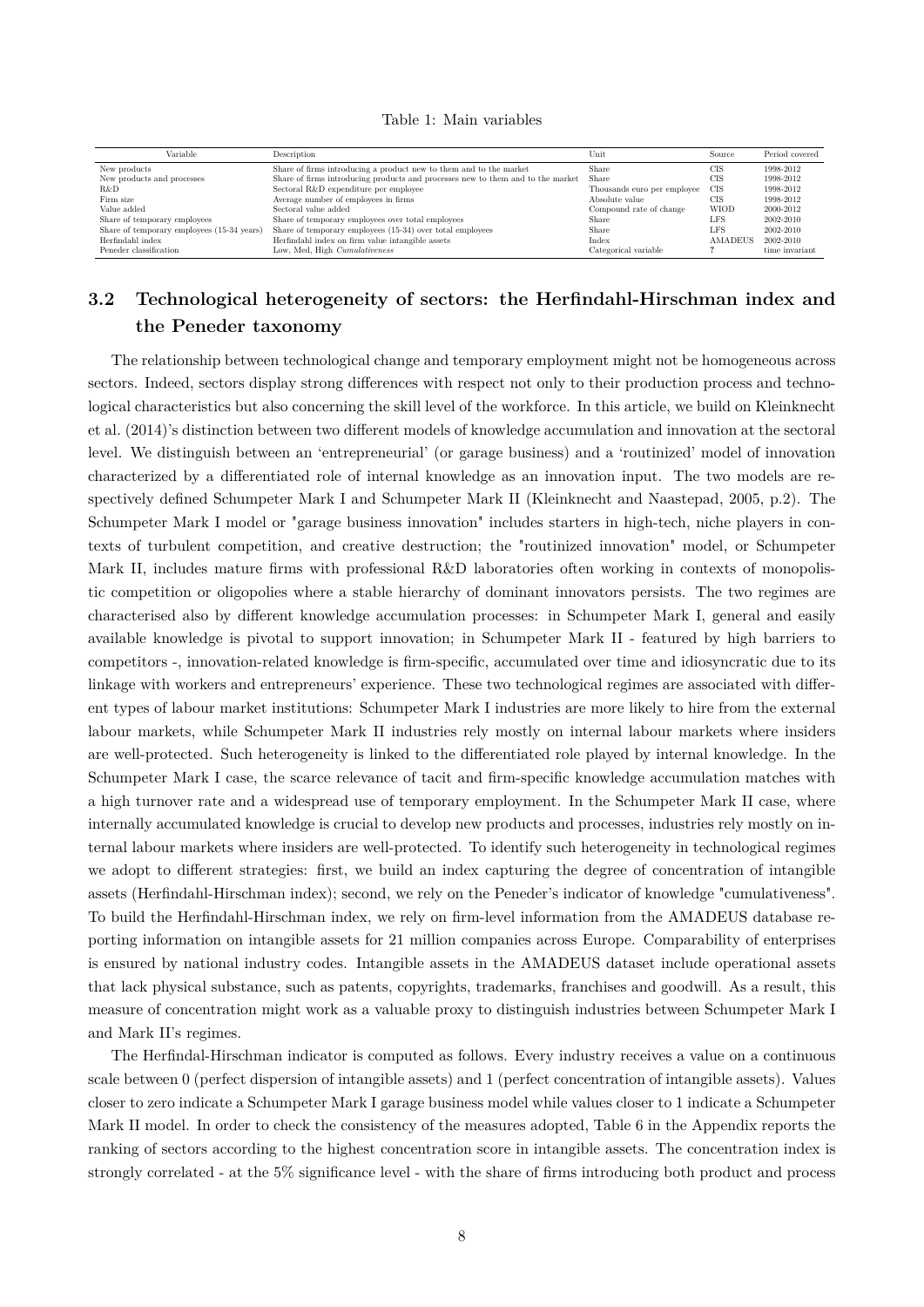| Table 1: Main variables |  |  |  |  |
|-------------------------|--|--|--|--|
|-------------------------|--|--|--|--|

| Variable                                   | Description                                                                     | Unit                        | Source         | Period covered |
|--------------------------------------------|---------------------------------------------------------------------------------|-----------------------------|----------------|----------------|
| New products                               | Share of firms introducing a product new to them and to the market              | Share                       | CIS            | 1998-2012      |
| New products and processes                 | Share of firms introducing products and processes new to them and to the market | Share                       | CIS            | 1998-2012      |
| R&D                                        | Sectoral R&D expenditure per employee                                           | Thousands euro per employee | <b>CIS</b>     | 1998-2012      |
| Firm size                                  | Average number of employees in firms                                            | Absolute value              | CIS            | 1998-2012      |
| Value added                                | Sectoral value added                                                            | Compound rate of change     | <b>WIOD</b>    | 2000-2012      |
| Share of temporary employees               | Share of temporary employees over total employees                               | Share                       | LFS            | 2002-2010      |
| Share of temporary employees (15-34 years) | Share of temporary employees (15-34) over total employees                       | Share                       | LFS            | 2002-2010      |
| Herfindahl index                           | Herfindahl index on firm value intangible assets                                | Index                       | <b>AMADEUS</b> | 2002-2010      |
| Peneder classification                     | Low, Med, High Cumulativeness                                                   | Categorical variable        |                | time invariant |

### **3.2 Technological heterogeneity of sectors: the Herfindahl-Hirschman index and the Peneder taxonomy**

The relationship between technological change and temporary employment might not be homogeneous across sectors. Indeed, sectors display strong differences with respect not only to their production process and technological characteristics but also concerning the skill level of the workforce. In this article, we build on Kleinknecht et al. (2014)'s distinction between two different models of knowledge accumulation and innovation at the sectoral level. We distinguish between an 'entrepreneurial' (or garage business) and a 'routinized' model of innovation characterized by a differentiated role of internal knowledge as an innovation input. The two models are respectively defined Schumpeter Mark I and Schumpeter Mark II (Kleinknecht and Naastepad, 2005, p.2). The Schumpeter Mark I model or "garage business innovation" includes starters in high-tech, niche players in contexts of turbulent competition, and creative destruction; the "routinized innovation" model, or Schumpeter Mark II, includes mature firms with professional R&D laboratories often working in contexts of monopolistic competition or oligopolies where a stable hierarchy of dominant innovators persists. The two regimes are characterised also by different knowledge accumulation processes: in Schumpeter Mark I, general and easily available knowledge is pivotal to support innovation; in Schumpeter Mark II - featured by high barriers to competitors -, innovation-related knowledge is firm-specific, accumulated over time and idiosyncratic due to its linkage with workers and entrepreneurs' experience. These two technological regimes are associated with different types of labour market institutions: Schumpeter Mark I industries are more likely to hire from the external labour markets, while Schumpeter Mark II industries rely mostly on internal labour markets where insiders are well-protected. Such heterogeneity is linked to the differentiated role played by internal knowledge. In the Schumpeter Mark I case, the scarce relevance of tacit and firm-specific knowledge accumulation matches with a high turnover rate and a widespread use of temporary employment. In the Schumpeter Mark II case, where internally accumulated knowledge is crucial to develop new products and processes, industries rely mostly on internal labour markets where insiders are well-protected. To identify such heterogeneity in technological regimes we adopt to different strategies: first, we build an index capturing the degree of concentration of intangible assets (Herfindahl-Hirschman index); second, we rely on the Peneder's indicator of knowledge "cumulativeness". To build the Herfindahl-Hirschman index, we rely on firm-level information from the AMADEUS database reporting information on intangible assets for 21 million companies across Europe. Comparability of enterprises is ensured by national industry codes. Intangible assets in the AMADEUS dataset include operational assets that lack physical substance, such as patents, copyrights, trademarks, franchises and goodwill. As a result, this measure of concentration might work as a valuable proxy to distinguish industries between Schumpeter Mark I and Mark II's regimes.

The Herfindal-Hirschman indicator is computed as follows. Every industry receives a value on a continuous scale between 0 (perfect dispersion of intangible assets) and 1 (perfect concentration of intangible assets). Values closer to zero indicate a Schumpeter Mark I garage business model while values closer to 1 indicate a Schumpeter Mark II model. In order to check the consistency of the measures adopted, Table 6 in the Appendix reports the ranking of sectors according to the highest concentration score in intangible assets. The concentration index is strongly correlated - at the 5% significance level - with the share of firms introducing both product and process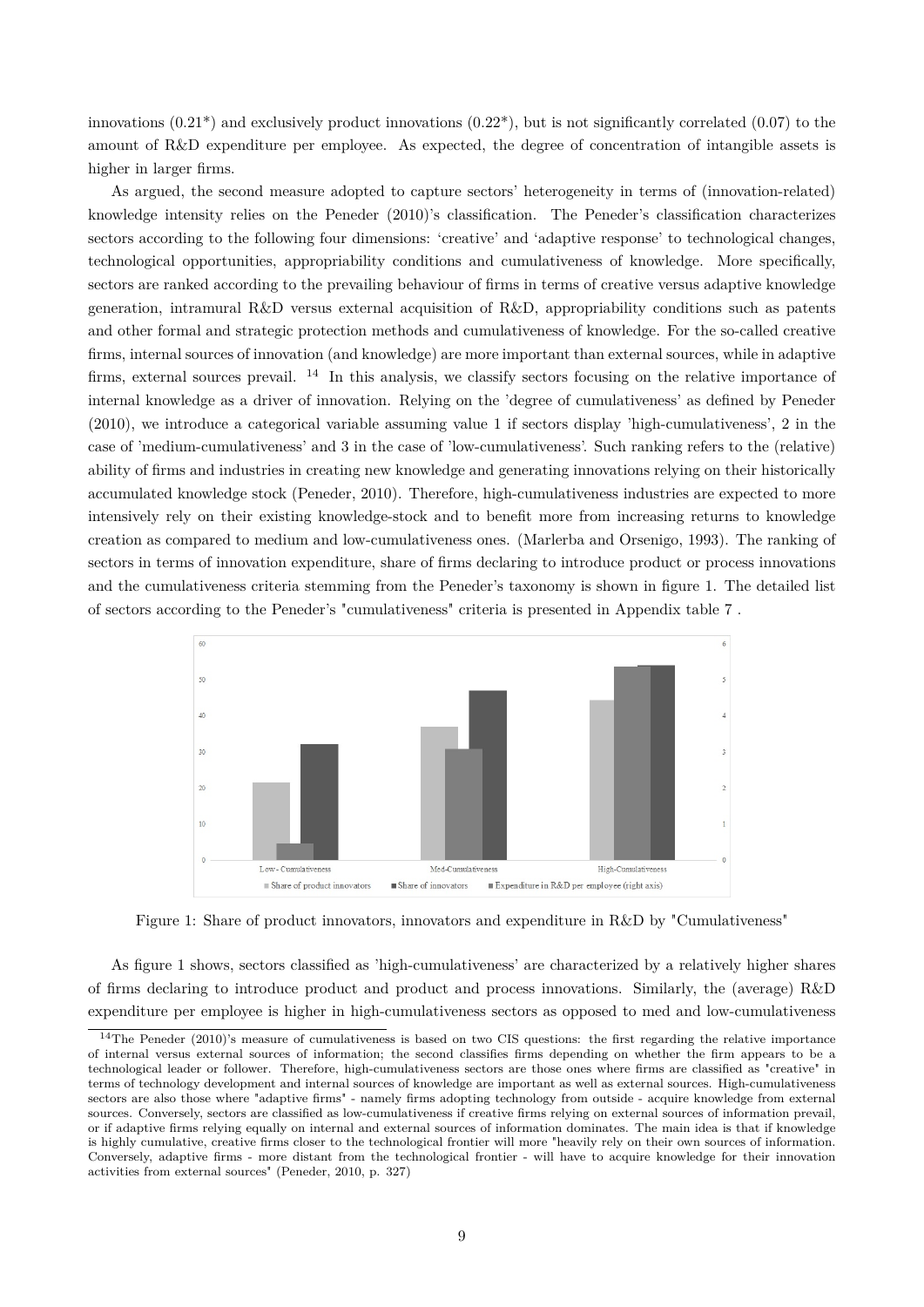innovations  $(0.21^*)$  and exclusively product innovations  $(0.22^*)$ , but is not significantly correlated  $(0.07)$  to the amount of R&D expenditure per employee. As expected, the degree of concentration of intangible assets is higher in larger firms.

As argued, the second measure adopted to capture sectors' heterogeneity in terms of (innovation-related) knowledge intensity relies on the Peneder (2010)'s classification. The Peneder's classification characterizes sectors according to the following four dimensions: 'creative' and 'adaptive response' to technological changes, technological opportunities, appropriability conditions and cumulativeness of knowledge. More specifically, sectors are ranked according to the prevailing behaviour of firms in terms of creative versus adaptive knowledge generation, intramural R&D versus external acquisition of R&D, appropriability conditions such as patents and other formal and strategic protection methods and cumulativeness of knowledge. For the so-called creative firms, internal sources of innovation (and knowledge) are more important than external sources, while in adaptive firms, external sources prevail. <sup>14</sup> In this analysis, we classify sectors focusing on the relative importance of internal knowledge as a driver of innovation. Relying on the 'degree of cumulativeness' as defined by Peneder (2010), we introduce a categorical variable assuming value 1 if sectors display 'high-cumulativeness', 2 in the case of 'medium-cumulativeness' and 3 in the case of 'low-cumulativeness'. Such ranking refers to the (relative) ability of firms and industries in creating new knowledge and generating innovations relying on their historically accumulated knowledge stock (Peneder, 2010). Therefore, high-cumulativeness industries are expected to more intensively rely on their existing knowledge-stock and to benefit more from increasing returns to knowledge creation as compared to medium and low-cumulativeness ones. (Marlerba and Orsenigo, 1993). The ranking of sectors in terms of innovation expenditure, share of firms declaring to introduce product or process innovations and the cumulativeness criteria stemming from the Peneder's taxonomy is shown in figure 1. The detailed list of sectors according to the Peneder's "cumulativeness" criteria is presented in Appendix table 7 .



Figure 1: Share of product innovators, innovators and expenditure in R&D by "Cumulativeness"

As figure 1 shows, sectors classified as 'high-cumulativeness' are characterized by a relatively higher shares of firms declaring to introduce product and product and process innovations. Similarly, the (average) R&D expenditure per employee is higher in high-cumulativeness sectors as opposed to med and low-cumulativeness

 $14$ The Peneder (2010)'s measure of cumulativeness is based on two CIS questions: the first regarding the relative importance of internal versus external sources of information; the second classifies firms depending on whether the firm appears to be a technological leader or follower. Therefore, high-cumulativeness sectors are those ones where firms are classified as "creative" in terms of technology development and internal sources of knowledge are important as well as external sources. High-cumulativeness sectors are also those where "adaptive firms" - namely firms adopting technology from outside - acquire knowledge from external sources. Conversely, sectors are classified as low-cumulativeness if creative firms relying on external sources of information prevail, or if adaptive firms relying equally on internal and external sources of information dominates. The main idea is that if knowledge is highly cumulative, creative firms closer to the technological frontier will more "heavily rely on their own sources of information. Conversely, adaptive firms - more distant from the technological frontier - will have to acquire knowledge for their innovation activities from external sources" (Peneder, 2010, p. 327)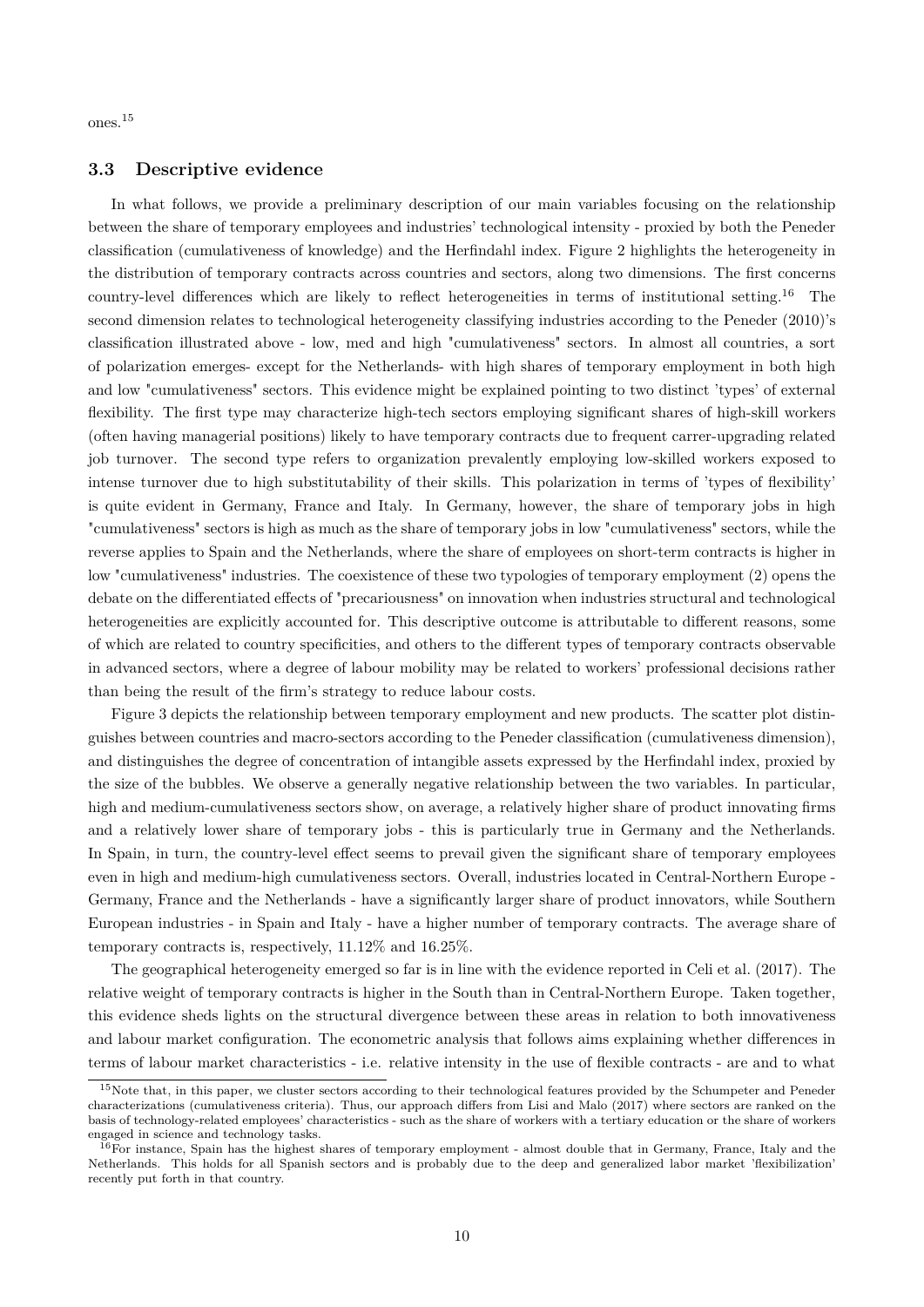ones.<sup>15</sup>

#### **3.3 Descriptive evidence**

In what follows, we provide a preliminary description of our main variables focusing on the relationship between the share of temporary employees and industries' technological intensity - proxied by both the Peneder classification (cumulativeness of knowledge) and the Herfindahl index. Figure 2 highlights the heterogeneity in the distribution of temporary contracts across countries and sectors, along two dimensions. The first concerns country-level differences which are likely to reflect heterogeneities in terms of institutional setting.<sup>16</sup> The second dimension relates to technological heterogeneity classifying industries according to the Peneder (2010)'s classification illustrated above - low, med and high "cumulativeness" sectors. In almost all countries, a sort of polarization emerges- except for the Netherlands- with high shares of temporary employment in both high and low "cumulativeness" sectors. This evidence might be explained pointing to two distinct 'types' of external flexibility. The first type may characterize high-tech sectors employing significant shares of high-skill workers (often having managerial positions) likely to have temporary contracts due to frequent carrer-upgrading related job turnover. The second type refers to organization prevalently employing low-skilled workers exposed to intense turnover due to high substitutability of their skills. This polarization in terms of 'types of flexibility' is quite evident in Germany, France and Italy. In Germany, however, the share of temporary jobs in high "cumulativeness" sectors is high as much as the share of temporary jobs in low "cumulativeness" sectors, while the reverse applies to Spain and the Netherlands, where the share of employees on short-term contracts is higher in low "cumulativeness" industries. The coexistence of these two typologies of temporary employment (2) opens the debate on the differentiated effects of "precariousness" on innovation when industries structural and technological heterogeneities are explicitly accounted for. This descriptive outcome is attributable to different reasons, some of which are related to country specificities, and others to the different types of temporary contracts observable in advanced sectors, where a degree of labour mobility may be related to workers' professional decisions rather than being the result of the firm's strategy to reduce labour costs.

Figure 3 depicts the relationship between temporary employment and new products. The scatter plot distinguishes between countries and macro-sectors according to the Peneder classification (cumulativeness dimension), and distinguishes the degree of concentration of intangible assets expressed by the Herfindahl index, proxied by the size of the bubbles. We observe a generally negative relationship between the two variables. In particular, high and medium-cumulativeness sectors show, on average, a relatively higher share of product innovating firms and a relatively lower share of temporary jobs - this is particularly true in Germany and the Netherlands. In Spain, in turn, the country-level effect seems to prevail given the significant share of temporary employees even in high and medium-high cumulativeness sectors. Overall, industries located in Central-Northern Europe - Germany, France and the Netherlands - have a significantly larger share of product innovators, while Southern European industries - in Spain and Italy - have a higher number of temporary contracts. The average share of temporary contracts is, respectively, 11.12% and 16.25%.

The geographical heterogeneity emerged so far is in line with the evidence reported in Celi et al. (2017). The relative weight of temporary contracts is higher in the South than in Central-Northern Europe. Taken together, this evidence sheds lights on the structural divergence between these areas in relation to both innovativeness and labour market configuration. The econometric analysis that follows aims explaining whether differences in terms of labour market characteristics - i.e. relative intensity in the use of flexible contracts - are and to what

<sup>&</sup>lt;sup>15</sup>Note that, in this paper, we cluster sectors according to their technological features provided by the Schumpeter and Peneder characterizations (cumulativeness criteria). Thus, our approach differs from Lisi and Malo (2017) where sectors are ranked on the basis of technology-related employees' characteristics - such as the share of workers with a tertiary education or the share of workers engaged in science and technology tasks.

For instance, Spain has the highest shares of temporary employment - almost double that in Germany, France, Italy and the Netherlands. This holds for all Spanish sectors and is probably due to the deep and generalized labor market 'flexibilization' recently put forth in that country.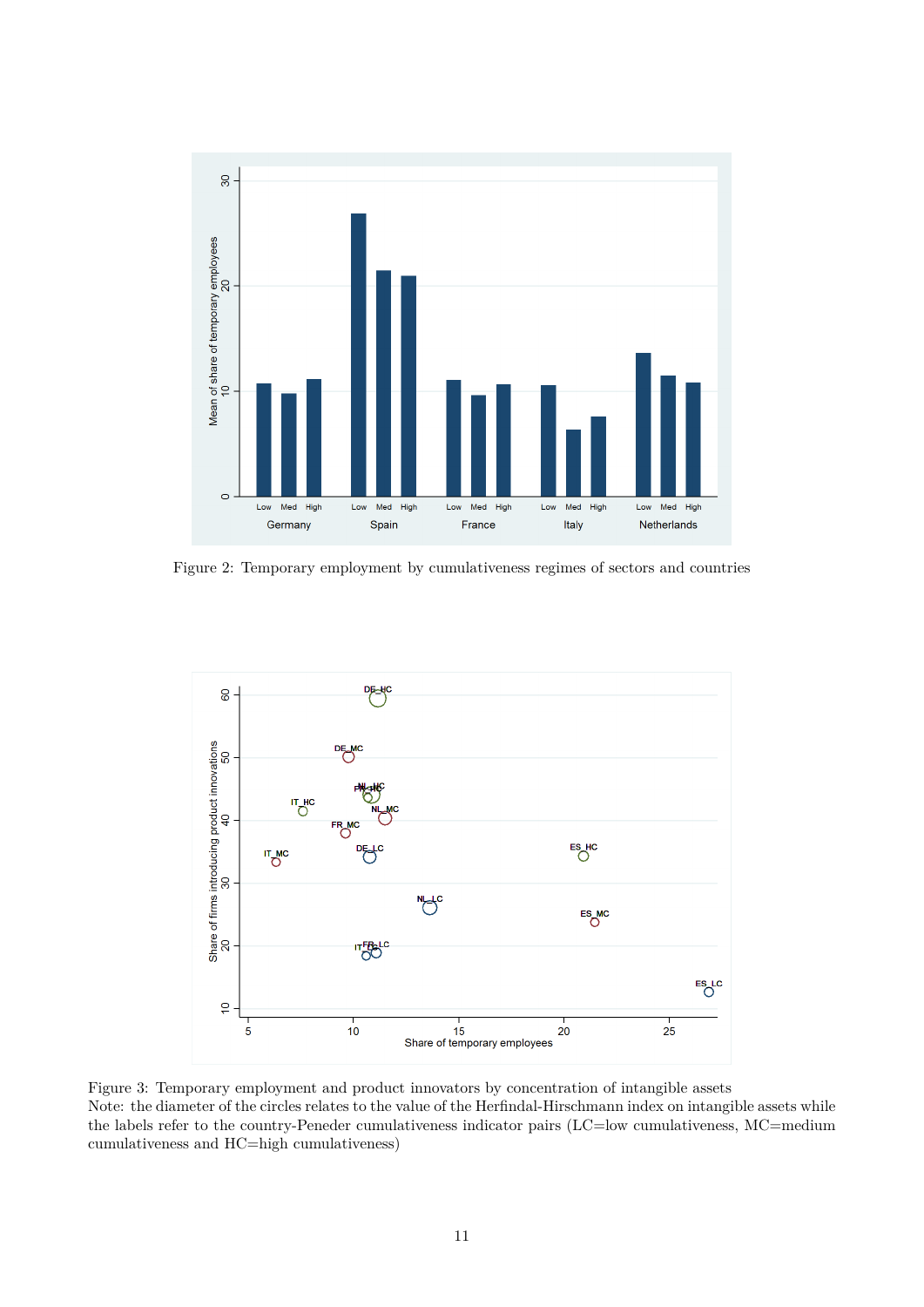

Figure 2: Temporary employment by cumulativeness regimes of sectors and countries



Figure 3: Temporary employment and product innovators by concentration of intangible assets Note: the diameter of the circles relates to the value of the Herfindal-Hirschmann index on intangible assets while the labels refer to the country-Peneder cumulativeness indicator pairs (LC=low cumulativeness, MC=medium cumulativeness and HC=high cumulativeness)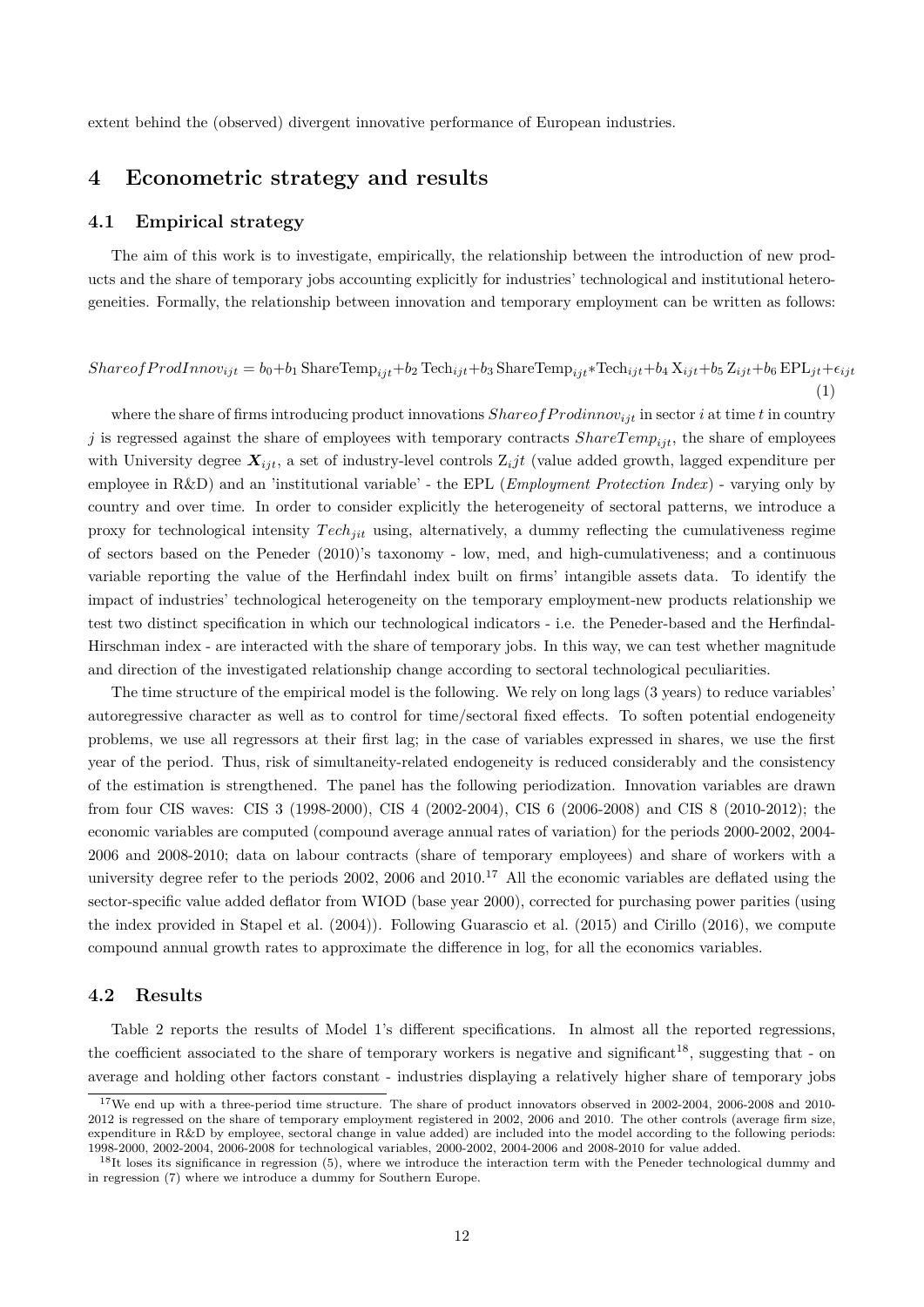extent behind the (observed) divergent innovative performance of European industries.

#### **4 Econometric strategy and results**

#### **4.1 Empirical strategy**

The aim of this work is to investigate, empirically, the relationship between the introduction of new products and the share of temporary jobs accounting explicitly for industries' technological and institutional heterogeneities. Formally, the relationship between innovation and temporary employment can be written as follows:

$$
Share of ProdInnov_{ijt} = b_0 + b_1\ \text{ShareTemp}_{ijt} + b_2\ \text{Techn}_{ijt} + b_3\ \text{ShareTemp}_{ijt} * \text{Techn}_{ijt} + b_4\ X_{ijt} + b_5\ Z_{ijt} + b_6\ \text{EPL}_{jt} + \epsilon_{ijt}
$$
\n
$$
\tag{1}
$$

where the share of firms introducing product innovations *ShareofProdinnov<sub>ijt</sub>* in sector *i* at time *t* in country *j* is regressed against the share of employees with temporary contracts  $ShareTemp_{iit}$ , the share of employees with University degree  $X_{ijt}$ , a set of industry-level controls  $Z_{i}jt$  (value added growth, lagged expenditure per employee in R&D) and an 'institutional variable' - the EPL (*Employment Protection Index*) - varying only by country and over time. In order to consider explicitly the heterogeneity of sectoral patterns, we introduce a proxy for technological intensity *T echjit* using, alternatively, a dummy reflecting the cumulativeness regime of sectors based on the Peneder (2010)'s taxonomy - low, med, and high-cumulativeness; and a continuous variable reporting the value of the Herfindahl index built on firms' intangible assets data. To identify the impact of industries' technological heterogeneity on the temporary employment-new products relationship we test two distinct specification in which our technological indicators - i.e. the Peneder-based and the Herfindal-Hirschman index - are interacted with the share of temporary jobs. In this way, we can test whether magnitude and direction of the investigated relationship change according to sectoral technological peculiarities.

The time structure of the empirical model is the following. We rely on long lags (3 years) to reduce variables' autoregressive character as well as to control for time/sectoral fixed effects. To soften potential endogeneity problems, we use all regressors at their first lag; in the case of variables expressed in shares, we use the first year of the period. Thus, risk of simultaneity-related endogeneity is reduced considerably and the consistency of the estimation is strengthened. The panel has the following periodization. Innovation variables are drawn from four CIS waves: CIS 3 (1998-2000), CIS 4 (2002-2004), CIS 6 (2006-2008) and CIS 8 (2010-2012); the economic variables are computed (compound average annual rates of variation) for the periods 2000-2002, 2004- 2006 and 2008-2010; data on labour contracts (share of temporary employees) and share of workers with a university degree refer to the periods 2002, 2006 and 2010.<sup>17</sup> All the economic variables are deflated using the sector-specific value added deflator from WIOD (base year 2000), corrected for purchasing power parities (using the index provided in Stapel et al. (2004)). Following Guarascio et al. (2015) and Cirillo (2016), we compute compound annual growth rates to approximate the difference in log, for all the economics variables.

#### **4.2 Results**

Table 2 reports the results of Model 1's different specifications. In almost all the reported regressions, the coefficient associated to the share of temporary workers is negative and significant<sup>18</sup>, suggesting that - on average and holding other factors constant - industries displaying a relatively higher share of temporary jobs

<sup>&</sup>lt;sup>17</sup>We end up with a three-period time structure. The share of product innovators observed in 2002-2004, 2006-2008 and 2010-2012 is regressed on the share of temporary employment registered in 2002, 2006 and 2010. The other controls (average firm size, expenditure in R&D by employee, sectoral change in value added) are included into the model according to the following periods: 1998-2000, 2002-2004, 2006-2008 for technological variables, 2000-2002, 2004-2006 and 2008-2010 for value added.

 $18$ It loses its significance in regression (5), where we introduce the interaction term with the Peneder technological dummy and in regression (7) where we introduce a dummy for Southern Europe.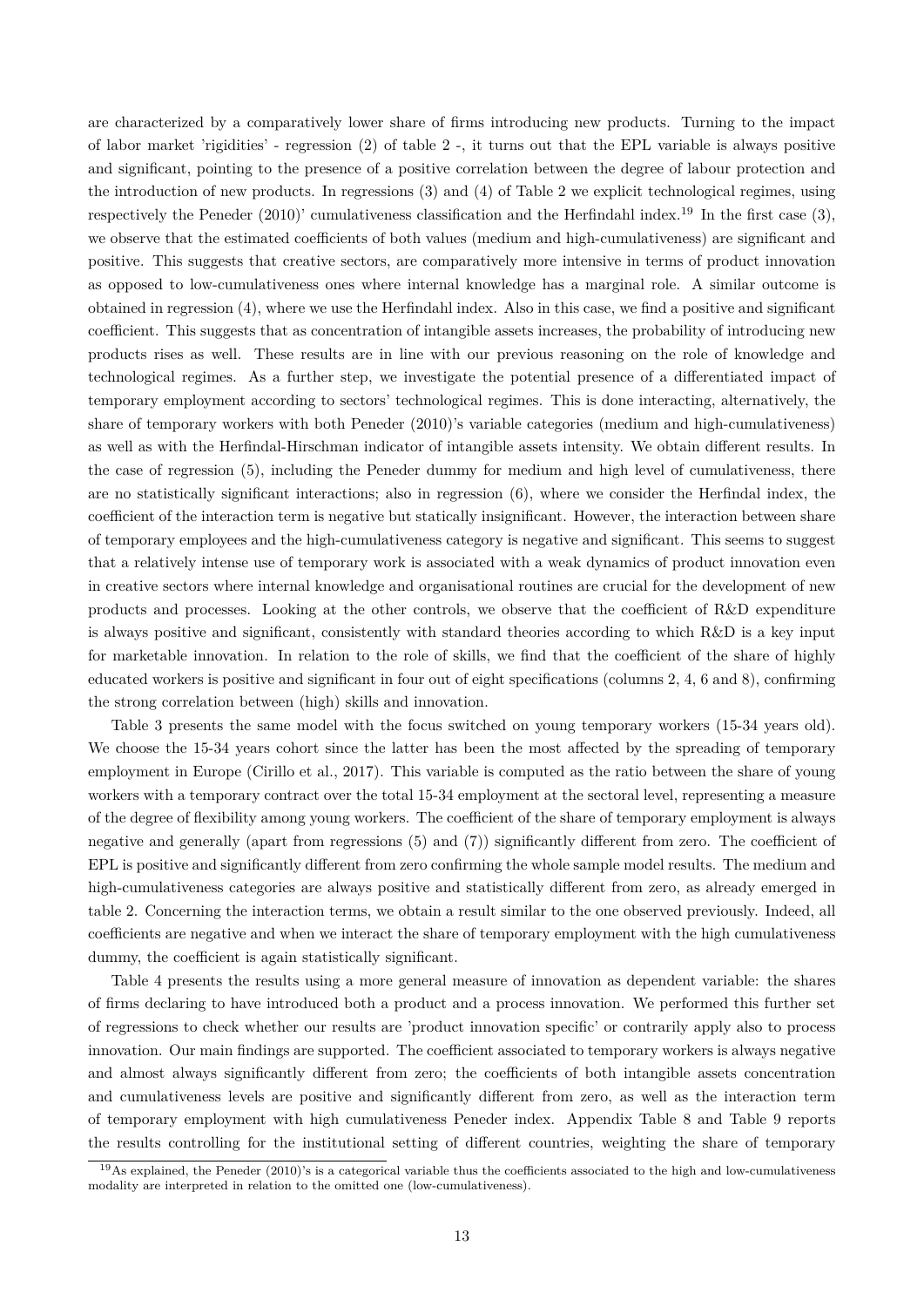are characterized by a comparatively lower share of firms introducing new products. Turning to the impact of labor market 'rigidities' - regression (2) of table 2 -, it turns out that the EPL variable is always positive and significant, pointing to the presence of a positive correlation between the degree of labour protection and the introduction of new products. In regressions (3) and (4) of Table 2 we explicit technological regimes, using respectively the Peneder (2010)' cumulativeness classification and the Herfindahl index.<sup>19</sup> In the first case (3), we observe that the estimated coefficients of both values (medium and high-cumulativeness) are significant and positive. This suggests that creative sectors, are comparatively more intensive in terms of product innovation as opposed to low-cumulativeness ones where internal knowledge has a marginal role. A similar outcome is obtained in regression (4), where we use the Herfindahl index. Also in this case, we find a positive and significant coefficient. This suggests that as concentration of intangible assets increases, the probability of introducing new products rises as well. These results are in line with our previous reasoning on the role of knowledge and technological regimes. As a further step, we investigate the potential presence of a differentiated impact of temporary employment according to sectors' technological regimes. This is done interacting, alternatively, the share of temporary workers with both Peneder (2010)'s variable categories (medium and high-cumulativeness) as well as with the Herfindal-Hirschman indicator of intangible assets intensity. We obtain different results. In the case of regression (5), including the Peneder dummy for medium and high level of cumulativeness, there are no statistically significant interactions; also in regression (6), where we consider the Herfindal index, the coefficient of the interaction term is negative but statically insignificant. However, the interaction between share of temporary employees and the high-cumulativeness category is negative and significant. This seems to suggest that a relatively intense use of temporary work is associated with a weak dynamics of product innovation even in creative sectors where internal knowledge and organisational routines are crucial for the development of new products and processes. Looking at the other controls, we observe that the coefficient of R&D expenditure is always positive and significant, consistently with standard theories according to which R&D is a key input for marketable innovation. In relation to the role of skills, we find that the coefficient of the share of highly educated workers is positive and significant in four out of eight specifications (columns 2, 4, 6 and 8), confirming the strong correlation between (high) skills and innovation.

Table 3 presents the same model with the focus switched on young temporary workers (15-34 years old). We choose the 15-34 years cohort since the latter has been the most affected by the spreading of temporary employment in Europe (Cirillo et al., 2017). This variable is computed as the ratio between the share of young workers with a temporary contract over the total 15-34 employment at the sectoral level, representing a measure of the degree of flexibility among young workers. The coefficient of the share of temporary employment is always negative and generally (apart from regressions (5) and (7)) significantly different from zero. The coefficient of EPL is positive and significantly different from zero confirming the whole sample model results. The medium and high-cumulativeness categories are always positive and statistically different from zero, as already emerged in table 2. Concerning the interaction terms, we obtain a result similar to the one observed previously. Indeed, all coefficients are negative and when we interact the share of temporary employment with the high cumulativeness dummy, the coefficient is again statistically significant.

Table 4 presents the results using a more general measure of innovation as dependent variable: the shares of firms declaring to have introduced both a product and a process innovation. We performed this further set of regressions to check whether our results are 'product innovation specific' or contrarily apply also to process innovation. Our main findings are supported. The coefficient associated to temporary workers is always negative and almost always significantly different from zero; the coefficients of both intangible assets concentration and cumulativeness levels are positive and significantly different from zero, as well as the interaction term of temporary employment with high cumulativeness Peneder index. Appendix Table 8 and Table 9 reports the results controlling for the institutional setting of different countries, weighting the share of temporary

 $^{19}$ As explained, the Peneder (2010)'s is a categorical variable thus the coefficients associated to the high and low-cumulativeness modality are interpreted in relation to the omitted one (low-cumulativeness).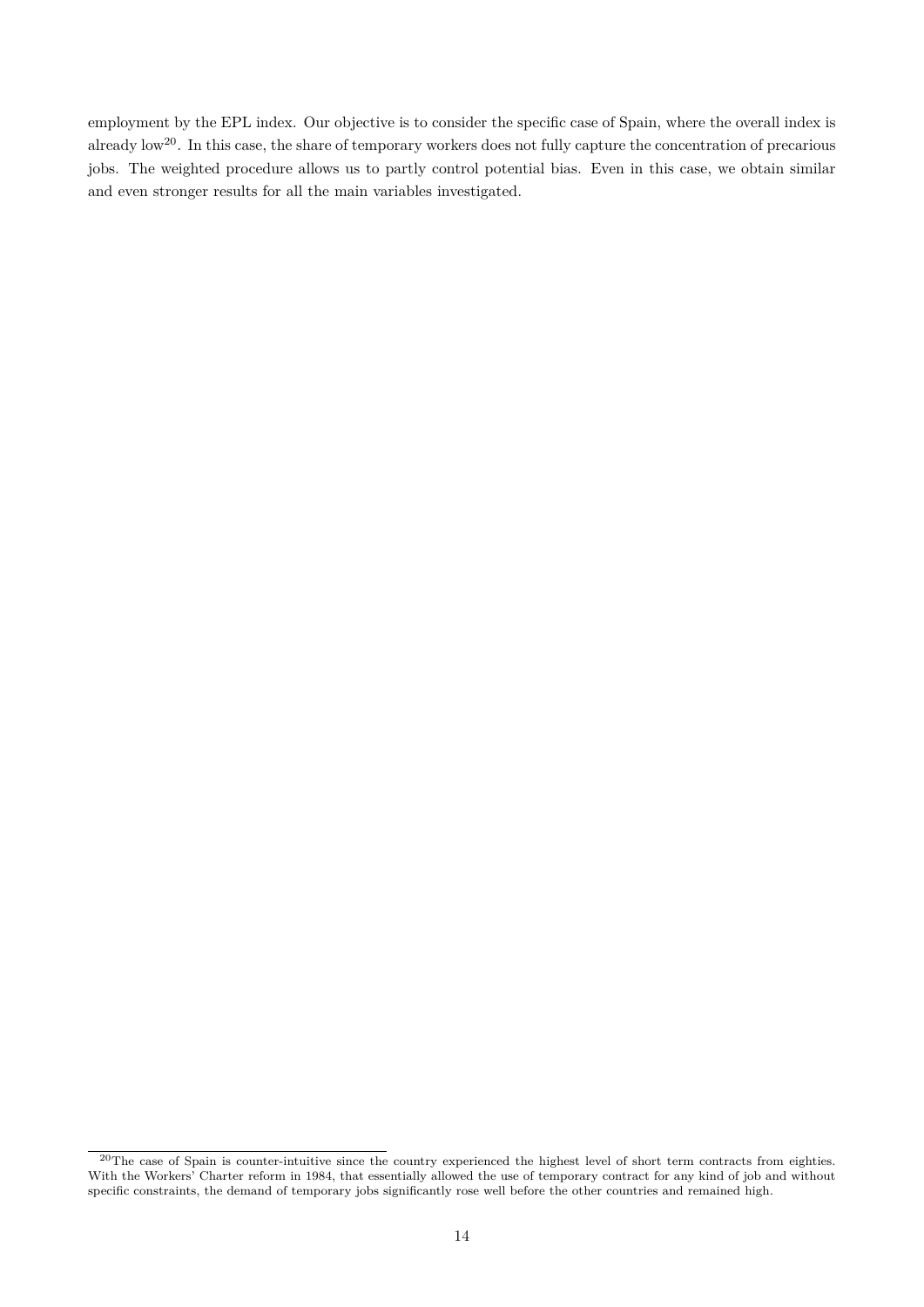employment by the EPL index. Our objective is to consider the specific case of Spain, where the overall index is already low<sup>20</sup>. In this case, the share of temporary workers does not fully capture the concentration of precarious jobs. The weighted procedure allows us to partly control potential bias. Even in this case, we obtain similar and even stronger results for all the main variables investigated.

 $20$ The case of Spain is counter-intuitive since the country experienced the highest level of short term contracts from eighties. With the Workers' Charter reform in 1984, that essentially allowed the use of temporary contract for any kind of job and without specific constraints, the demand of temporary jobs significantly rose well before the other countries and remained high.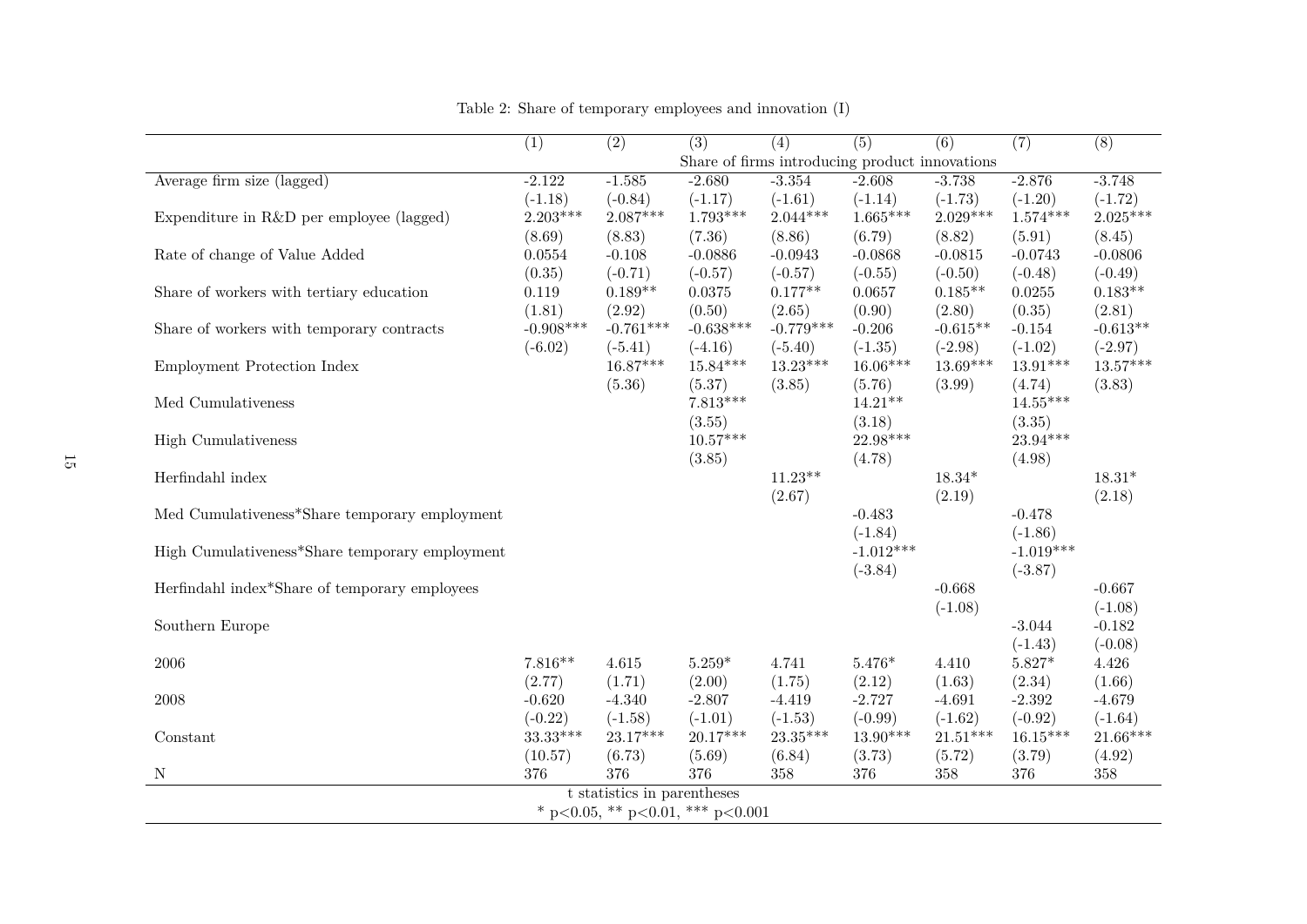|                                                | $\overline{(1)}$ | $\overline{(2)}$            | $\overline{(3)}$                 | $\overline{(4)}$ | $\overline{(5)}$                               | $\overline{(6)}$ | $\overline{(7)}$ | $\overline{(8)}$ |
|------------------------------------------------|------------------|-----------------------------|----------------------------------|------------------|------------------------------------------------|------------------|------------------|------------------|
|                                                |                  |                             |                                  |                  | Share of firms introducing product innovations |                  |                  |                  |
| Average firm size (lagged)                     | $-2.122$         | $-1.585$                    | $-2.680$                         | $-3.354$         | $-2.608$                                       | $-3.738$         | $-2.876$         | $-3.748$         |
|                                                | $(-1.18)$        | $(-0.84)$                   | $(-1.17)$                        | $(-1.61)$        | $(-1.14)$                                      | $(-1.73)$        | $(-1.20)$        | $(-1.72)$        |
| Expenditure in R&D per employee (lagged)       | $2.203***$       | $2.087***$                  | $1.793***$                       | $2.044***$       | $1.665***$                                     | $2.029***$       | $1.574***$       | $2.025***$       |
|                                                | (8.69)           | (8.83)                      | (7.36)                           | (8.86)           | (6.79)                                         | (8.82)           | (5.91)           | (8.45)           |
| Rate of change of Value Added                  | 0.0554           | $-0.108$                    | $-0.0886$                        | $-0.0943$        | $-0.0868$                                      | $-0.0815$        | $-0.0743$        | $-0.0806$        |
|                                                | (0.35)           | $(-0.71)$                   | $(-0.57)$                        | $(-0.57)$        | $(-0.55)$                                      | $(-0.50)$        | $(-0.48)$        | $(-0.49)$        |
| Share of workers with tertiary education       | 0.119            | $0.189**$                   | 0.0375                           | $0.177**$        | 0.0657                                         | $0.185**$        | 0.0255           | $0.183**$        |
|                                                | (1.81)           | (2.92)                      | (0.50)                           | (2.65)           | (0.90)                                         | (2.80)           | (0.35)           | (2.81)           |
| Share of workers with temporary contracts      | $-0.908***$      | $-0.761***$                 | $-0.638***$                      | $-0.779***$      | $-0.206$                                       | $-0.615**$       | $-0.154$         | $-0.613**$       |
|                                                | $(-6.02)$        | $(-5.41)$                   | $(-4.16)$                        | $(-5.40)$        | $(-1.35)$                                      | $(-2.98)$        | $(-1.02)$        | $(-2.97)$        |
| Employment Protection Index                    |                  | $16.87***$                  | $15.84***$                       | $13.23***$       | $16.06***$                                     | $13.69***$       | $13.91***$       | $13.57***$       |
|                                                |                  | (5.36)                      | (5.37)                           | (3.85)           | (5.76)                                         | (3.99)           | (4.74)           | (3.83)           |
| Med Cumulativeness                             |                  |                             | $7.813***$                       |                  | $14.21***$                                     |                  | $14.55***$       |                  |
|                                                |                  |                             | (3.55)                           |                  | (3.18)                                         |                  | (3.35)           |                  |
| <b>High Cumulativeness</b>                     |                  |                             | $10.57***$                       |                  | $22.98***$                                     |                  | $23.94***$       |                  |
|                                                |                  |                             | (3.85)                           |                  | (4.78)                                         |                  | (4.98)           |                  |
| Herfindahl index                               |                  |                             |                                  | $11.23**$        |                                                | $18.34*$         |                  | $18.31*$         |
|                                                |                  |                             |                                  | (2.67)           |                                                | (2.19)           |                  | (2.18)           |
| Med Cumulativeness*Share temporary employment  |                  |                             |                                  |                  | $-0.483$                                       |                  | $-0.478$         |                  |
|                                                |                  |                             |                                  |                  | $(-1.84)$                                      |                  | $(-1.86)$        |                  |
| High Cumulativeness*Share temporary employment |                  |                             |                                  |                  | $-1.012***$                                    |                  | $-1.019***$      |                  |
|                                                |                  |                             |                                  |                  | $(-3.84)$                                      |                  | $(-3.87)$        |                  |
| Herfindahl index*Share of temporary employees  |                  |                             |                                  |                  |                                                | $-0.668$         |                  | $-0.667$         |
|                                                |                  |                             |                                  |                  |                                                | $(-1.08)$        |                  | $(-1.08)$        |
| Southern Europe                                |                  |                             |                                  |                  |                                                |                  | $-3.044$         | $-0.182$         |
|                                                |                  |                             |                                  |                  |                                                |                  | $(-1.43)$        | $(-0.08)$        |
| 2006                                           | $7.816**$        | 4.615                       | $5.259*$                         | 4.741            | $5.476*$                                       | 4.410            | $5.827*$         | 4.426            |
|                                                | (2.77)           | (1.71)                      | (2.00)                           | (1.75)           | (2.12)                                         | (1.63)           | (2.34)           | (1.66)           |
| 2008                                           | $-0.620$         | $-4.340$                    | $-2.807$                         | $-4.419$         | $-2.727$                                       | $-4.691$         | $-2.392$         | $-4.679$         |
|                                                | $(-0.22)$        | $(-1.58)$                   | $(-1.01)$                        | $(-1.53)$        | $(-0.99)$                                      | $(-1.62)$        | $(-0.92)$        | $(-1.64)$        |
| Constant                                       | 33.33***         | $23.17***$                  | $20.17***$                       | $23.35***$       | $13.90***$                                     | $21.51***$       | $16.15***$       | $21.66***$       |
|                                                | (10.57)          | (6.73)                      | (5.69)                           | (6.84)           | (3.73)                                         | (5.72)           | (3.79)           | (4.92)           |
| $\mathbf N$                                    | 376              | 376                         | 376                              | 358              | 376                                            | 358              | $376\,$          | 358              |
|                                                |                  | t statistics in parentheses |                                  |                  |                                                |                  |                  |                  |
|                                                |                  |                             | * p<0.05, ** p<0.01, *** p<0.001 |                  |                                                |                  |                  |                  |

Table 2: Share of temporary employees and innovation (I)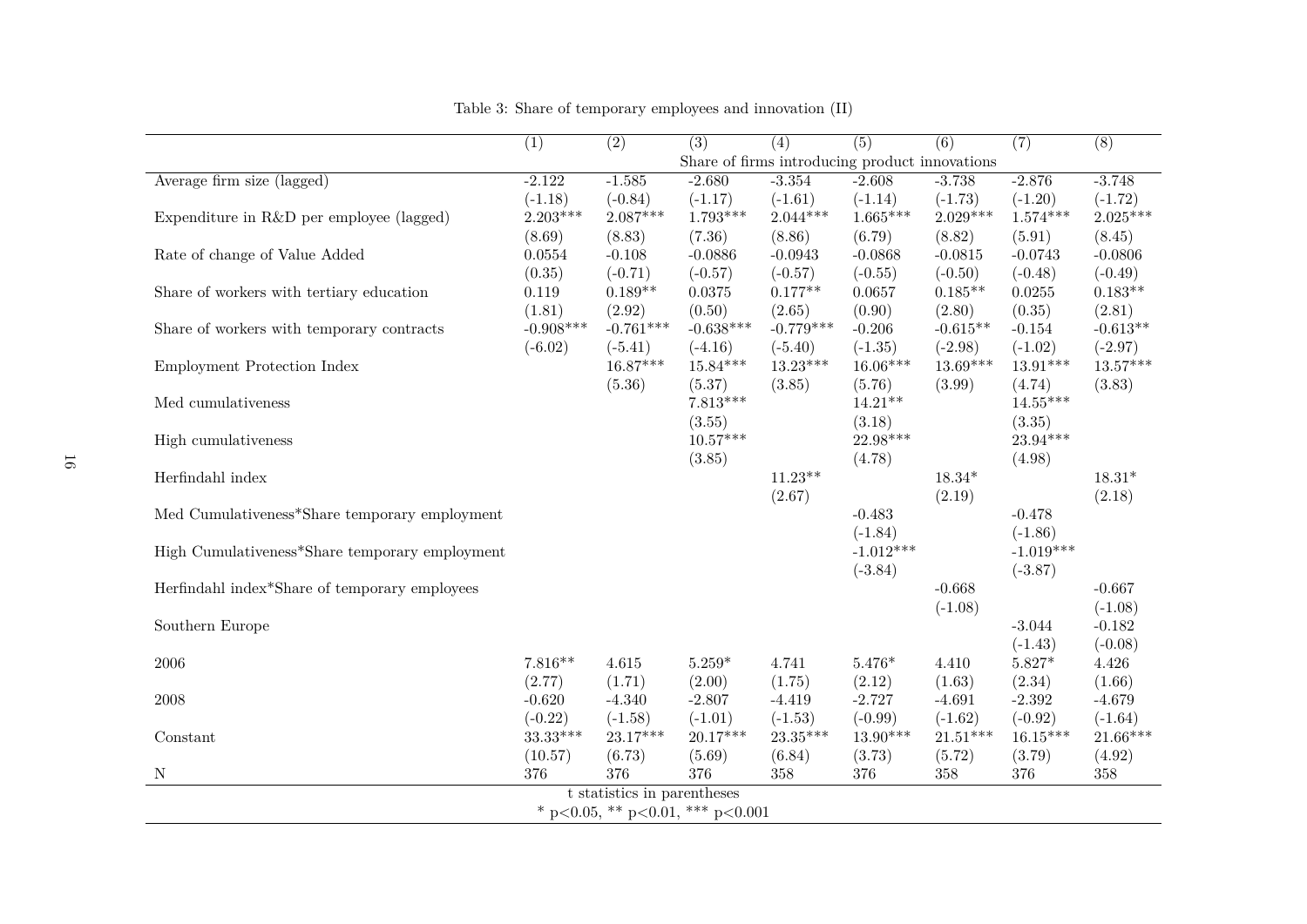|                                                | $\overline{(1)}$ | $\overline{(2)}$            | $\overline{(3)}$                               | $\overline{(4)}$ | $\overline{(5)}$ | $\overline{(6)}$ | $\overline{(7)}$ | $\overline{(8)}$ |
|------------------------------------------------|------------------|-----------------------------|------------------------------------------------|------------------|------------------|------------------|------------------|------------------|
|                                                |                  |                             | Share of firms introducing product innovations |                  |                  |                  |                  |                  |
| Average firm size (lagged)                     | $-2.122$         | $-1.585$                    | $-2.680$                                       | $-3.354$         | $-2.608$         | $-3.738$         | $-2.876$         | $-3.748$         |
|                                                | $(-1.18)$        | $(-0.84)$                   | $(-1.17)$                                      | $(-1.61)$        | $(-1.14)$        | $(-1.73)$        | $(-1.20)$        | $(-1.72)$        |
| Expenditure in R&D per employee (lagged)       | $2.203***$       | $2.087***$                  | $1.793***$                                     | $2.044***$       | $1.665***$       | $2.029***$       | $1.574***$       | $2.025***$       |
|                                                | (8.69)           | (8.83)                      | (7.36)                                         | (8.86)           | (6.79)           | (8.82)           | (5.91)           | (8.45)           |
| Rate of change of Value Added                  | 0.0554           | $-0.108$                    | $-0.0886$                                      | $-0.0943$        | $-0.0868$        | $-0.0815$        | $-0.0743$        | $-0.0806$        |
|                                                | (0.35)           | $(-0.71)$                   | $(-0.57)$                                      | $(-0.57)$        | $(-0.55)$        | $(-0.50)$        | $(-0.48)$        | $(-0.49)$        |
| Share of workers with tertiary education       | 0.119            | $0.189**$                   | $\,0.0375\,$                                   | $0.177**$        | 0.0657           | $0.185**$        | 0.0255           | $0.183**$        |
|                                                | (1.81)           | (2.92)                      | (0.50)                                         | (2.65)           | (0.90)           | (2.80)           | (0.35)           | (2.81)           |
| Share of workers with temporary contracts      | $-0.908***$      | $-0.761***$                 | $-0.638***$                                    | $-0.779***$      | $-0.206$         | $-0.615**$       | $-0.154$         | $-0.613**$       |
|                                                | $(-6.02)$        | $(-5.41)$                   | $(-4.16)$                                      | $(-5.40)$        | $(-1.35)$        | $(-2.98)$        | $(-1.02)$        | $(-2.97)$        |
| Employment Protection Index                    |                  | $16.87***$                  | $15.84***$                                     | $13.23***$       | $16.06***$       | $13.69***$       | $13.91***$       | $13.57***$       |
|                                                |                  | (5.36)                      | (5.37)                                         | (3.85)           | (5.76)           | (3.99)           | (4.74)           | (3.83)           |
| Med cumulativeness                             |                  |                             | $7.813***$                                     |                  | $14.21***$       |                  | $14.55***$       |                  |
|                                                |                  |                             | (3.55)                                         |                  | (3.18)           |                  | (3.35)           |                  |
| High cumulativeness                            |                  |                             | $10.57***$                                     |                  | $22.98***$       |                  | 23.94***         |                  |
|                                                |                  |                             | (3.85)                                         |                  | (4.78)           |                  | (4.98)           |                  |
| Herfindahl index                               |                  |                             |                                                | $11.23**$        |                  | $18.34*$         |                  | $18.31*$         |
|                                                |                  |                             |                                                | (2.67)           |                  | (2.19)           |                  | (2.18)           |
| Med Cumulativeness*Share temporary employment  |                  |                             |                                                |                  | $-0.483$         |                  | $-0.478$         |                  |
|                                                |                  |                             |                                                |                  | $(-1.84)$        |                  | $(-1.86)$        |                  |
| High Cumulativeness*Share temporary employment |                  |                             |                                                |                  | $-1.012***$      |                  | $-1.019***$      |                  |
|                                                |                  |                             |                                                |                  | $(-3.84)$        |                  | $(-3.87)$        |                  |
| Herfindahl index*Share of temporary employees  |                  |                             |                                                |                  |                  | $-0.668$         |                  | $-0.667$         |
|                                                |                  |                             |                                                |                  |                  | $(-1.08)$        |                  | $(-1.08)$        |
| Southern Europe                                |                  |                             |                                                |                  |                  |                  | $-3.044$         | $-0.182$         |
|                                                |                  |                             |                                                |                  |                  |                  | $(-1.43)$        | $(-0.08)$        |
| $\,2006\,$                                     | $7.816**$        | 4.615                       | $5.259*$                                       | 4.741            | $5.476*$         | 4.410            | $5.827*$         | 4.426            |
|                                                | (2.77)           | (1.71)                      | (2.00)                                         | (1.75)           | (2.12)           | (1.63)           | (2.34)           | (1.66)           |
| 2008                                           | $-0.620$         | $-4.340$                    | $-2.807$                                       | $-4.419$         | $-2.727$         | $-4.691$         | $-2.392$         | $-4.679$         |
|                                                | $(-0.22)$        | $(-1.58)$                   | $(-1.01)$                                      | $(-1.53)$        | $(-0.99)$        | $(-1.62)$        | $(-0.92)$        | $(-1.64)$        |
| Constant                                       | 33.33***         | $23.17***$                  | $20.17***$                                     | $23.35***$       | $13.90***$       | $21.51***$       | $16.15***$       | 21.66***         |
|                                                | (10.57)          | (6.73)                      | (5.69)                                         | (6.84)           | (3.73)           | (5.72)           | (3.79)           | (4.92)           |
| $\mathbf N$                                    | 376              | 376                         | 376                                            | 358              | 376              | 358              | 376              | 358              |
|                                                |                  | t statistics in parentheses |                                                |                  |                  |                  |                  |                  |
|                                                |                  |                             | * p<0.05, ** p<0.01, *** p<0.001               |                  |                  |                  |                  |                  |

Table 3: Share of temporary employees and innovation (II)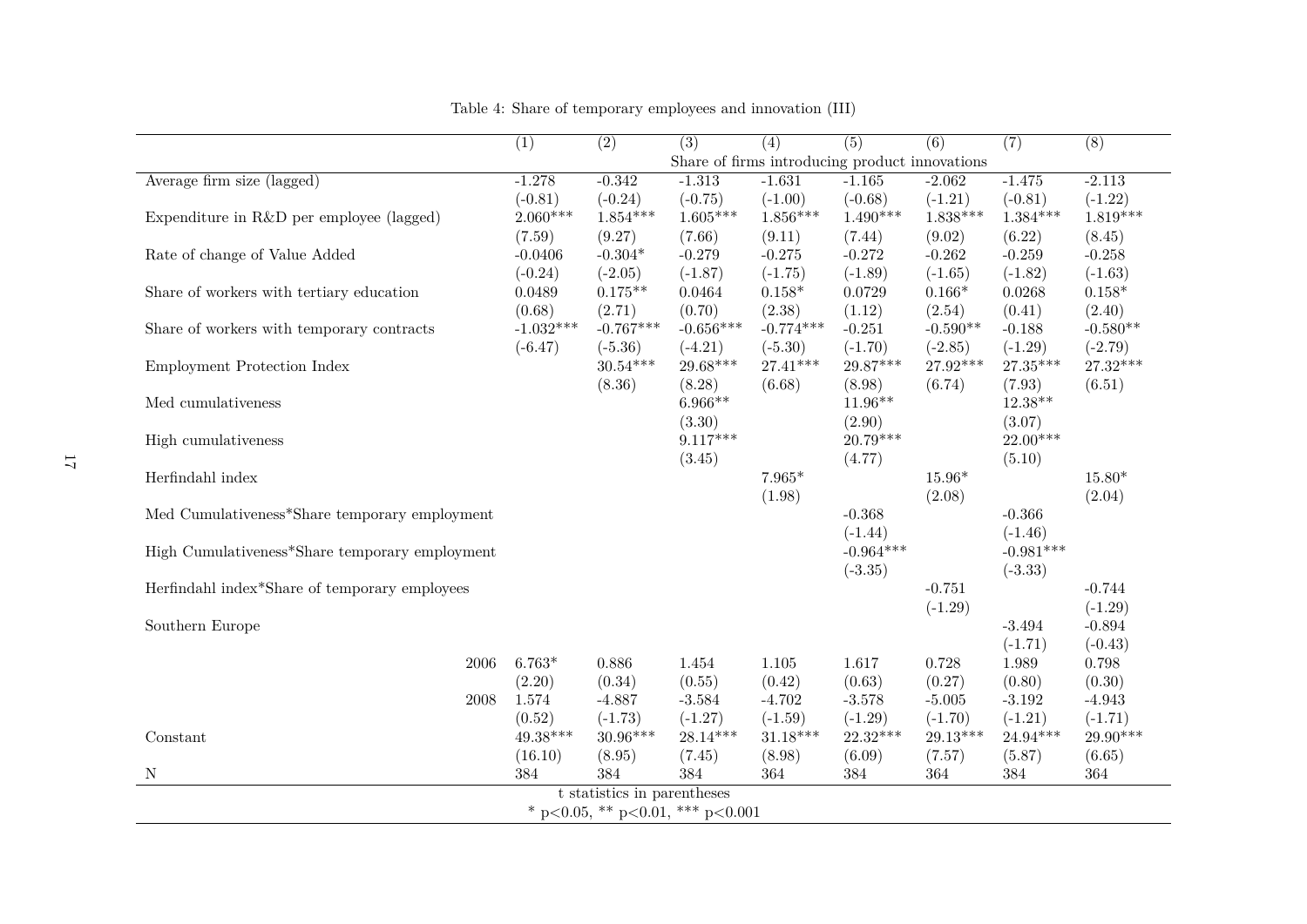|                                                | $\overline{(1)}$ | $\overline{(2)}$            | $\overline{(3)}$                 | $\overline{(4)}$ | $\overline{(5)}$                               | $\overline{(6)}$ | (7)         | $\overline{(8)}$ |
|------------------------------------------------|------------------|-----------------------------|----------------------------------|------------------|------------------------------------------------|------------------|-------------|------------------|
|                                                |                  |                             |                                  |                  | Share of firms introducing product innovations |                  |             |                  |
| Average firm size (lagged)                     | $-1.278$         | $-0.342$                    | $-1.313$                         | $-1.631$         | $-1.165$                                       | $-2.062$         | $-1.475$    | $-2.113$         |
|                                                | $(-0.81)$        | $(-0.24)$                   | $(-0.75)$                        | $(-1.00)$        | $(-0.68)$                                      | $(-1.21)$        | $(-0.81)$   | $(-1.22)$        |
| Expenditure in $R&D$ per employee (lagged)     | $2.060***$       | $1.854***$                  | $1.605***$                       | $1.856***$       | $1.490***$                                     | $1.838***$       | $1.384***$  | $1.819***$       |
|                                                | (7.59)           | (9.27)                      | (7.66)                           | (9.11)           | (7.44)                                         | (9.02)           | (6.22)      | (8.45)           |
| Rate of change of Value Added                  | $-0.0406$        | $-0.304*$                   | $-0.279$                         | $-0.275$         | $-0.272$                                       | $-0.262$         | $-0.259$    | $-0.258$         |
|                                                | $(-0.24)$        | $(-2.05)$                   | $(-1.87)$                        | $(-1.75)$        | $(-1.89)$                                      | $(-1.65)$        | $(-1.82)$   | $(-1.63)$        |
| Share of workers with tertiary education       | 0.0489           | $0.175**$                   | 0.0464                           | $0.158*$         | 0.0729                                         | $0.166*$         | 0.0268      | $0.158*$         |
|                                                | (0.68)           | (2.71)                      | (0.70)                           | (2.38)           | (1.12)                                         | (2.54)           | (0.41)      | (2.40)           |
| Share of workers with temporary contracts      | $-1.032***$      | $-0.767***$                 | $-0.656***$                      | $-0.774***$      | $-0.251$                                       | $-0.590**$       | $-0.188$    | $-0.580**$       |
|                                                | $(-6.47)$        | $(-5.36)$                   | $(-4.21)$                        | $(-5.30)$        | $(-1.70)$                                      | $(-2.85)$        | $(-1.29)$   | $(-2.79)$        |
| Employment Protection Index                    |                  | $30.54***$                  | $29.68***$                       | $27.41***$       | $29.87***$                                     | $27.92***$       | $27.35***$  | $27.32***$       |
|                                                |                  | (8.36)                      | (8.28)                           | (6.68)           | (8.98)                                         | (6.74)           | (7.93)      | (6.51)           |
| Med cumulativeness                             |                  |                             | $6.966**$                        |                  | $11.96**$                                      |                  | $12.38**$   |                  |
|                                                |                  |                             | (3.30)                           |                  | (2.90)                                         |                  | (3.07)      |                  |
| High cumulativeness                            |                  |                             | $9.117***$                       |                  | $20.79***$                                     |                  | $22.00***$  |                  |
|                                                |                  |                             | (3.45)                           |                  | (4.77)                                         |                  | (5.10)      |                  |
| Herfindahl index                               |                  |                             |                                  | $7.965*$         |                                                | $15.96*$         |             | $15.80*$         |
|                                                |                  |                             |                                  | (1.98)           |                                                | (2.08)           |             | (2.04)           |
| Med Cumulativeness*Share temporary employment  |                  |                             |                                  |                  | $-0.368$                                       |                  | $-0.366$    |                  |
|                                                |                  |                             |                                  |                  | $(-1.44)$                                      |                  | $(-1.46)$   |                  |
| High Cumulativeness*Share temporary employment |                  |                             |                                  |                  | $-0.964***$                                    |                  | $-0.981***$ |                  |
|                                                |                  |                             |                                  |                  | $(-3.35)$                                      |                  | $(-3.33)$   |                  |
| Herfindahl index*Share of temporary employees  |                  |                             |                                  |                  |                                                | $-0.751$         |             | $-0.744$         |
|                                                |                  |                             |                                  |                  |                                                | $(-1.29)$        |             | $(-1.29)$        |
| Southern Europe                                |                  |                             |                                  |                  |                                                |                  | $-3.494$    | $-0.894$         |
|                                                |                  |                             |                                  |                  |                                                |                  | $(-1.71)$   | $(-0.43)$        |
| 2006                                           | $6.763*$         | $0.886\,$                   | 1.454                            | 1.105            | 1.617                                          | 0.728            | 1.989       | 0.798            |
|                                                | (2.20)           | (0.34)                      | (0.55)                           | (0.42)           | (0.63)                                         | (0.27)           | (0.80)      | (0.30)           |
| 2008                                           | 1.574            | $-4.887$                    | $-3.584$                         | $-4.702$         | $-3.578$                                       | $-5.005$         | $-3.192$    | $-4.943$         |
|                                                | (0.52)           | $(-1.73)$                   | $(-1.27)$                        | $(-1.59)$        | $(-1.29)$                                      | $(-1.70)$        | $(-1.21)$   | $(-1.71)$        |
| Constant                                       | $49.38***$       | $30.96***$                  | $28.14***$                       | $31.18***$       | $22.32***$                                     | $29.13***$       | $24.94***$  | 29.90***         |
|                                                | (16.10)          | (8.95)                      | (7.45)                           | (8.98)           | (6.09)                                         | (7.57)           | (5.87)      | (6.65)           |
| N                                              | 384              | 384                         | 384                              | 364              | 384                                            | 364              | 384         | 364              |
|                                                |                  | t statistics in parentheses |                                  |                  |                                                |                  |             |                  |
|                                                |                  |                             | * p<0.05, ** p<0.01, *** p<0.001 |                  |                                                |                  |             |                  |

Table 4: Share of temporary employees and innovation (III)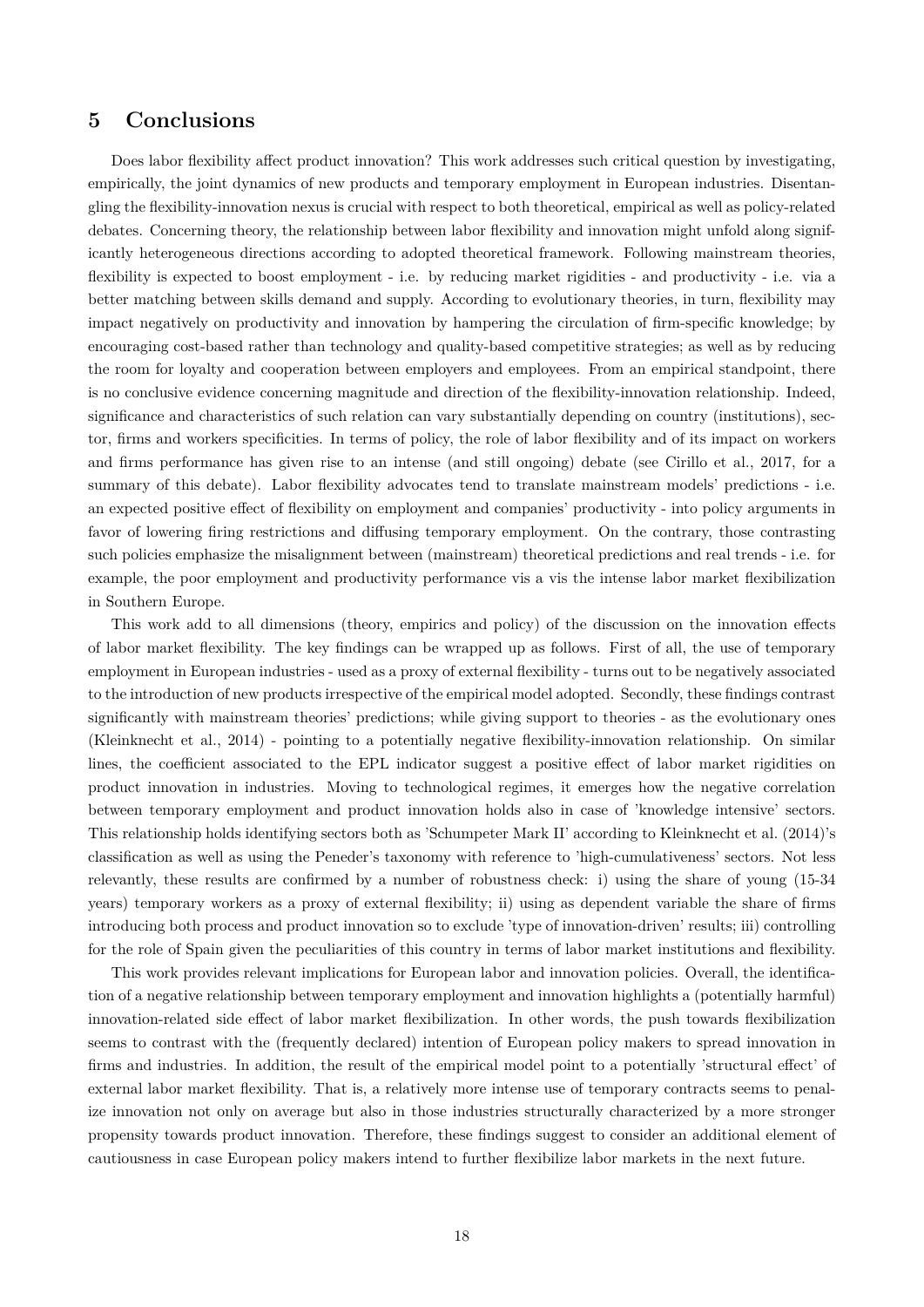#### **5 Conclusions**

Does labor flexibility affect product innovation? This work addresses such critical question by investigating, empirically, the joint dynamics of new products and temporary employment in European industries. Disentangling the flexibility-innovation nexus is crucial with respect to both theoretical, empirical as well as policy-related debates. Concerning theory, the relationship between labor flexibility and innovation might unfold along significantly heterogeneous directions according to adopted theoretical framework. Following mainstream theories, flexibility is expected to boost employment - i.e. by reducing market rigidities - and productivity - i.e. via a better matching between skills demand and supply. According to evolutionary theories, in turn, flexibility may impact negatively on productivity and innovation by hampering the circulation of firm-specific knowledge; by encouraging cost-based rather than technology and quality-based competitive strategies; as well as by reducing the room for loyalty and cooperation between employers and employees. From an empirical standpoint, there is no conclusive evidence concerning magnitude and direction of the flexibility-innovation relationship. Indeed, significance and characteristics of such relation can vary substantially depending on country (institutions), sector, firms and workers specificities. In terms of policy, the role of labor flexibility and of its impact on workers and firms performance has given rise to an intense (and still ongoing) debate (see Cirillo et al., 2017, for a summary of this debate). Labor flexibility advocates tend to translate mainstream models' predictions - i.e. an expected positive effect of flexibility on employment and companies' productivity - into policy arguments in favor of lowering firing restrictions and diffusing temporary employment. On the contrary, those contrasting such policies emphasize the misalignment between (mainstream) theoretical predictions and real trends - i.e. for example, the poor employment and productivity performance vis a vis the intense labor market flexibilization in Southern Europe.

This work add to all dimensions (theory, empirics and policy) of the discussion on the innovation effects of labor market flexibility. The key findings can be wrapped up as follows. First of all, the use of temporary employment in European industries - used as a proxy of external flexibility - turns out to be negatively associated to the introduction of new products irrespective of the empirical model adopted. Secondly, these findings contrast significantly with mainstream theories' predictions; while giving support to theories - as the evolutionary ones (Kleinknecht et al., 2014) - pointing to a potentially negative flexibility-innovation relationship. On similar lines, the coefficient associated to the EPL indicator suggest a positive effect of labor market rigidities on product innovation in industries. Moving to technological regimes, it emerges how the negative correlation between temporary employment and product innovation holds also in case of 'knowledge intensive' sectors. This relationship holds identifying sectors both as 'Schumpeter Mark II' according to Kleinknecht et al. (2014)'s classification as well as using the Peneder's taxonomy with reference to 'high-cumulativeness' sectors. Not less relevantly, these results are confirmed by a number of robustness check: i) using the share of young (15-34 years) temporary workers as a proxy of external flexibility; ii) using as dependent variable the share of firms introducing both process and product innovation so to exclude 'type of innovation-driven' results; iii) controlling for the role of Spain given the peculiarities of this country in terms of labor market institutions and flexibility.

This work provides relevant implications for European labor and innovation policies. Overall, the identification of a negative relationship between temporary employment and innovation highlights a (potentially harmful) innovation-related side effect of labor market flexibilization. In other words, the push towards flexibilization seems to contrast with the (frequently declared) intention of European policy makers to spread innovation in firms and industries. In addition, the result of the empirical model point to a potentially 'structural effect' of external labor market flexibility. That is, a relatively more intense use of temporary contracts seems to penalize innovation not only on average but also in those industries structurally characterized by a more stronger propensity towards product innovation. Therefore, these findings suggest to consider an additional element of cautiousness in case European policy makers intend to further flexibilize labor markets in the next future.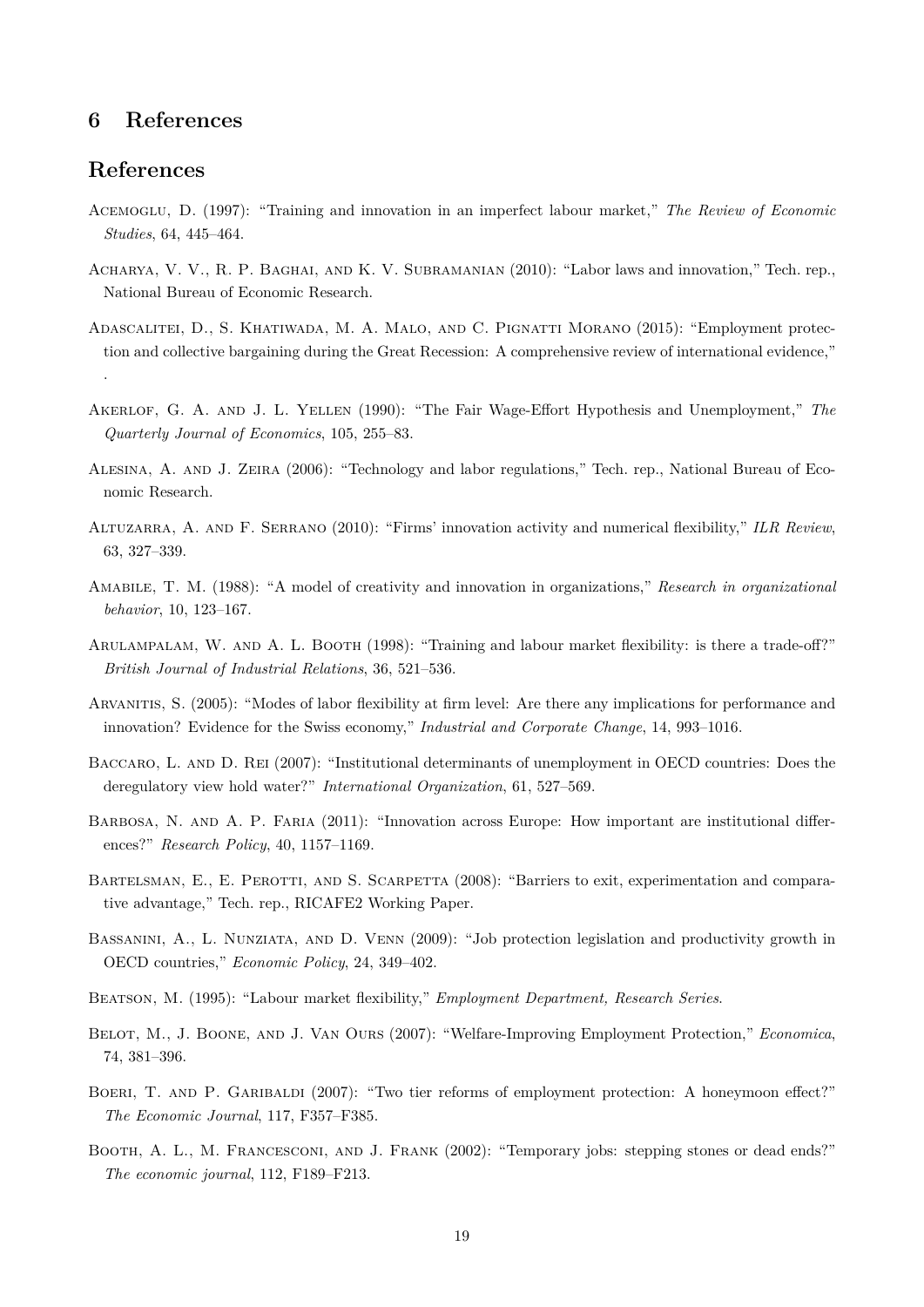### **6 References**

#### **References**

- Acemoglu, D. (1997): "Training and innovation in an imperfect labour market," *The Review of Economic Studies*, 64, 445–464.
- Acharya, V. V., R. P. Baghai, and K. V. Subramanian (2010): "Labor laws and innovation," Tech. rep., National Bureau of Economic Research.
- Adascalitei, D., S. Khatiwada, M. A. Malo, and C. Pignatti Morano (2015): "Employment protection and collective bargaining during the Great Recession: A comprehensive review of international evidence," .
- Akerlof, G. A. and J. L. Yellen (1990): "The Fair Wage-Effort Hypothesis and Unemployment," *The Quarterly Journal of Economics*, 105, 255–83.
- Alesina, A. and J. Zeira (2006): "Technology and labor regulations," Tech. rep., National Bureau of Economic Research.
- Altuzarra, A. and F. Serrano (2010): "Firms' innovation activity and numerical flexibility," *ILR Review*, 63, 327–339.
- Amabile, T. M. (1988): "A model of creativity and innovation in organizations," *Research in organizational behavior*, 10, 123–167.
- Arulampalam, W. and A. L. Booth (1998): "Training and labour market flexibility: is there a trade-off?" *British Journal of Industrial Relations*, 36, 521–536.
- Arvanitis, S. (2005): "Modes of labor flexibility at firm level: Are there any implications for performance and innovation? Evidence for the Swiss economy," *Industrial and Corporate Change*, 14, 993–1016.
- Baccaro, L. and D. Rei (2007): "Institutional determinants of unemployment in OECD countries: Does the deregulatory view hold water?" *International Organization*, 61, 527–569.
- BARBOSA, N. AND A. P. FARIA (2011): "Innovation across Europe: How important are institutional differences?" *Research Policy*, 40, 1157–1169.
- BARTELSMAN, E., E. PEROTTI, AND S. SCARPETTA (2008): "Barriers to exit, experimentation and comparative advantage," Tech. rep., RICAFE2 Working Paper.
- Bassanini, A., L. Nunziata, and D. Venn (2009): "Job protection legislation and productivity growth in OECD countries," *Economic Policy*, 24, 349–402.
- Beatson, M. (1995): "Labour market flexibility," *Employment Department, Research Series*.
- Belot, M., J. Boone, and J. Van Ours (2007): "Welfare-Improving Employment Protection," *Economica*, 74, 381–396.
- BOERI, T. AND P. GARIBALDI (2007): "Two tier reforms of employment protection: A honeymoon effect?" *The Economic Journal*, 117, F357–F385.
- Booth, A. L., M. Francesconi, and J. Frank (2002): "Temporary jobs: stepping stones or dead ends?" *The economic journal*, 112, F189–F213.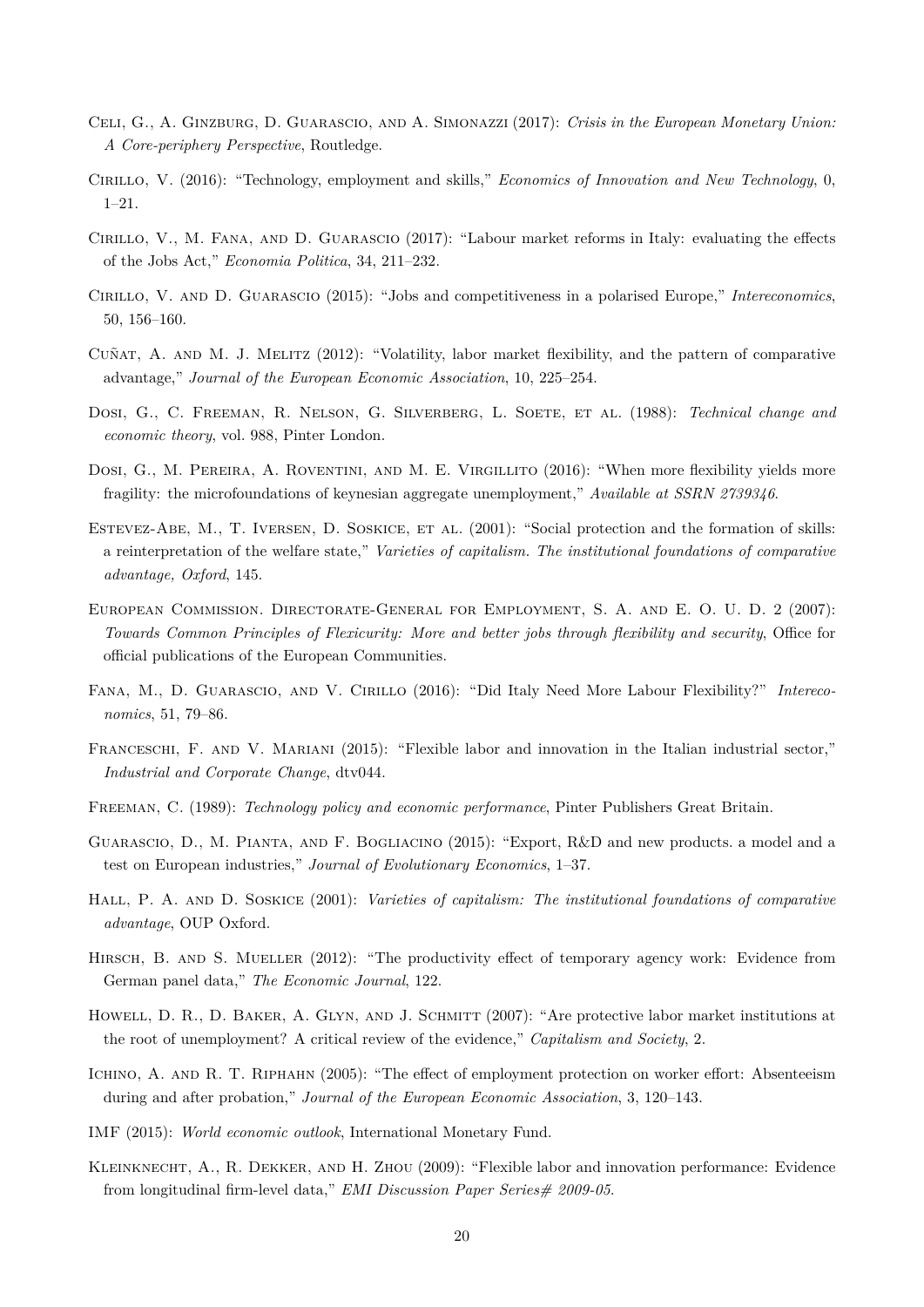- Celi, G., A. Ginzburg, D. Guarascio, and A. Simonazzi (2017): *Crisis in the European Monetary Union: A Core-periphery Perspective*, Routledge.
- Cirillo, V. (2016): "Technology, employment and skills," *Economics of Innovation and New Technology*, 0, 1–21.
- Cirillo, V., M. Fana, and D. Guarascio (2017): "Labour market reforms in Italy: evaluating the effects of the Jobs Act," *Economia Politica*, 34, 211–232.
- Cirillo, V. and D. Guarascio (2015): "Jobs and competitiveness in a polarised Europe," *Intereconomics*, 50, 156–160.
- Cuñat, A. and M. J. Melitz (2012): "Volatility, labor market flexibility, and the pattern of comparative advantage," *Journal of the European Economic Association*, 10, 225–254.
- Dosi, G., C. Freeman, R. Nelson, G. Silverberg, L. Soete, et al. (1988): *Technical change and economic theory*, vol. 988, Pinter London.
- Dosi, G., M. PEREIRA, A. ROVENTINI, AND M. E. VIRGILLITO (2016): "When more flexibility yields more fragility: the microfoundations of keynesian aggregate unemployment," *Available at SSRN 2739346*.
- Estevez-Abe, M., T. Iversen, D. Soskice, et al. (2001): "Social protection and the formation of skills: a reinterpretation of the welfare state," *Varieties of capitalism. The institutional foundations of comparative advantage, Oxford*, 145.
- European Commission. Directorate-General for Employment, S. A. and E. O. U. D. 2 (2007): *Towards Common Principles of Flexicurity: More and better jobs through flexibility and security*, Office for official publications of the European Communities.
- Fana, M., D. Guarascio, and V. Cirillo (2016): "Did Italy Need More Labour Flexibility?" *Intereconomics*, 51, 79–86.
- FRANCESCHI, F. AND V. MARIANI (2015): "Flexible labor and innovation in the Italian industrial sector," *Industrial and Corporate Change*, dtv044.
- Freeman, C. (1989): *Technology policy and economic performance*, Pinter Publishers Great Britain.
- Guarascio, D., M. Pianta, and F. Bogliacino (2015): "Export, R&D and new products. a model and a test on European industries," *Journal of Evolutionary Economics*, 1–37.
- Hall, P. A. and D. Soskice (2001): *Varieties of capitalism: The institutional foundations of comparative advantage*, OUP Oxford.
- HIRSCH, B. AND S. MUELLER (2012): "The productivity effect of temporary agency work: Evidence from German panel data," *The Economic Journal*, 122.
- HOWELL, D. R., D. BAKER, A. GLYN, AND J. SCHMITT (2007): "Are protective labor market institutions at the root of unemployment? A critical review of the evidence," *Capitalism and Society*, 2.
- Ichino, A. and R. T. Riphahn (2005): "The effect of employment protection on worker effort: Absenteeism during and after probation," *Journal of the European Economic Association*, 3, 120–143.
- IMF (2015): *World economic outlook*, International Monetary Fund.
- Kleinknecht, A., R. Dekker, and H. Zhou (2009): "Flexible labor and innovation performance: Evidence from longitudinal firm-level data," *EMI Discussion Paper Series# 2009-05*.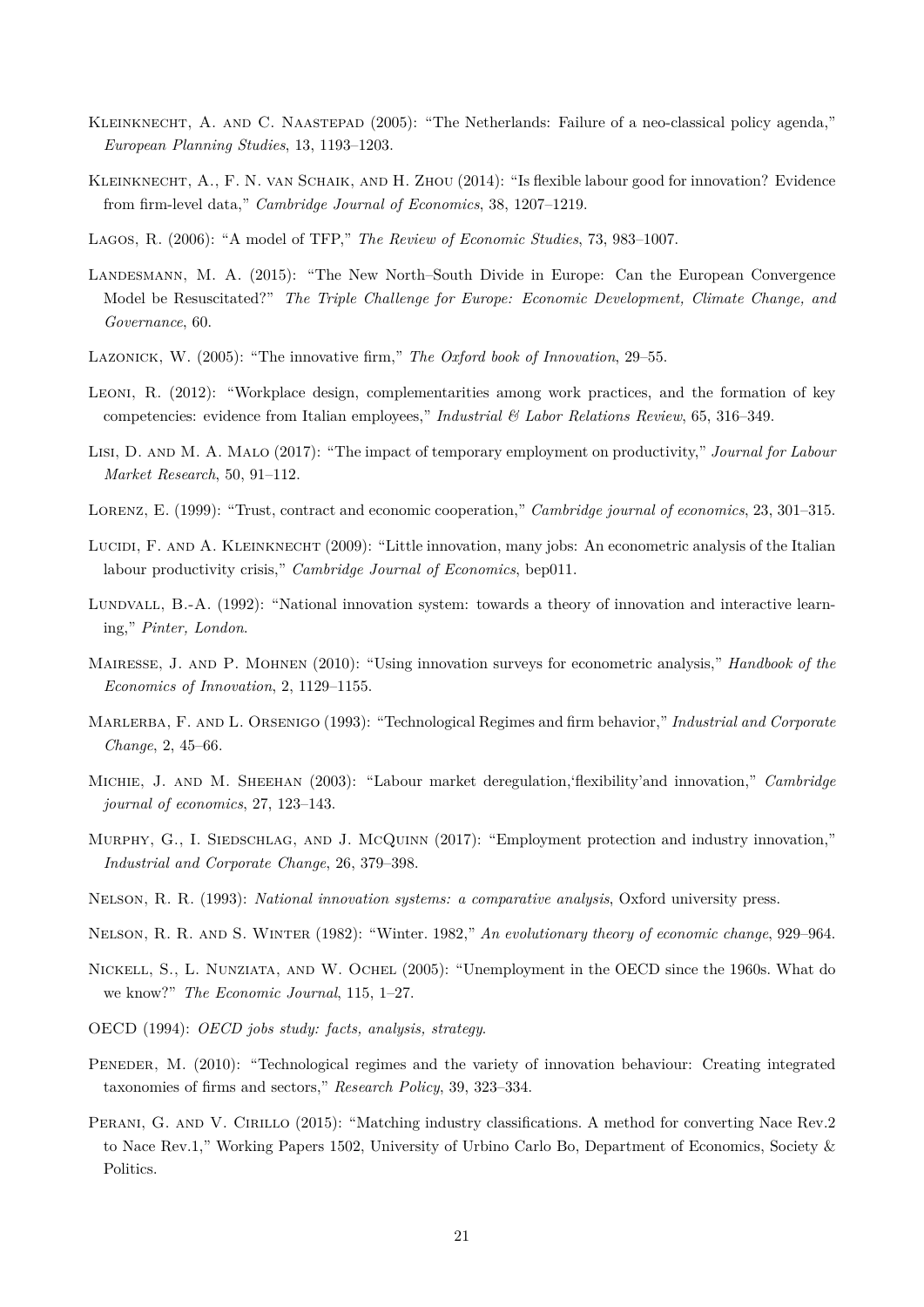- Kleinknecht, A. and C. Naastepad (2005): "The Netherlands: Failure of a neo-classical policy agenda," *European Planning Studies*, 13, 1193–1203.
- KLEINKNECHT, A., F. N. VAN SCHAIK, AND H. ZHOU (2014): "Is flexible labour good for innovation? Evidence from firm-level data," *Cambridge Journal of Economics*, 38, 1207–1219.
- Lagos, R. (2006): "A model of TFP," *The Review of Economic Studies*, 73, 983–1007.
- Landesmann, M. A. (2015): "The New North–South Divide in Europe: Can the European Convergence Model be Resuscitated?" *The Triple Challenge for Europe: Economic Development, Climate Change, and Governance*, 60.
- Lazonick, W. (2005): "The innovative firm," *The Oxford book of Innovation*, 29–55.
- Leoni, R. (2012): "Workplace design, complementarities among work practices, and the formation of key competencies: evidence from Italian employees," *Industrial & Labor Relations Review*, 65, 316–349.
- Lisi, D. and M. A. Malo (2017): "The impact of temporary employment on productivity," *Journal for Labour Market Research*, 50, 91–112.
- Lorenz, E. (1999): "Trust, contract and economic cooperation," *Cambridge journal of economics*, 23, 301–315.
- LUCIDI, F. AND A. KLEINKNECHT (2009): "Little innovation, many jobs: An econometric analysis of the Italian labour productivity crisis," *Cambridge Journal of Economics*, bep011.
- Lundvall, B.-A. (1992): "National innovation system: towards a theory of innovation and interactive learning," *Pinter, London*.
- Mairesse, J. and P. Mohnen (2010): "Using innovation surveys for econometric analysis," *Handbook of the Economics of Innovation*, 2, 1129–1155.
- Marlerba, F. and L. Orsenigo (1993): "Technological Regimes and firm behavior," *Industrial and Corporate Change*, 2, 45–66.
- Michie, J. and M. Sheehan (2003): "Labour market deregulation,'flexibility'and innovation," *Cambridge journal of economics*, 27, 123–143.
- MURPHY, G., I. SIEDSCHLAG, AND J. McQUINN (2017): "Employment protection and industry innovation," *Industrial and Corporate Change*, 26, 379–398.
- Nelson, R. R. (1993): *National innovation systems: a comparative analysis*, Oxford university press.
- Nelson, R. R. and S. Winter (1982): "Winter. 1982," *An evolutionary theory of economic change*, 929–964.
- Nickell, S., L. Nunziata, and W. Ochel (2005): "Unemployment in the OECD since the 1960s. What do we know?" *The Economic Journal*, 115, 1–27.
- OECD (1994): *OECD jobs study: facts, analysis, strategy*.
- PENEDER, M. (2010): "Technological regimes and the variety of innovation behaviour: Creating integrated taxonomies of firms and sectors," *Research Policy*, 39, 323–334.
- PERANI, G. AND V. CIRILLO (2015): "Matching industry classifications. A method for converting Nace Rev.2 to Nace Rev.1," Working Papers 1502, University of Urbino Carlo Bo, Department of Economics, Society & Politics.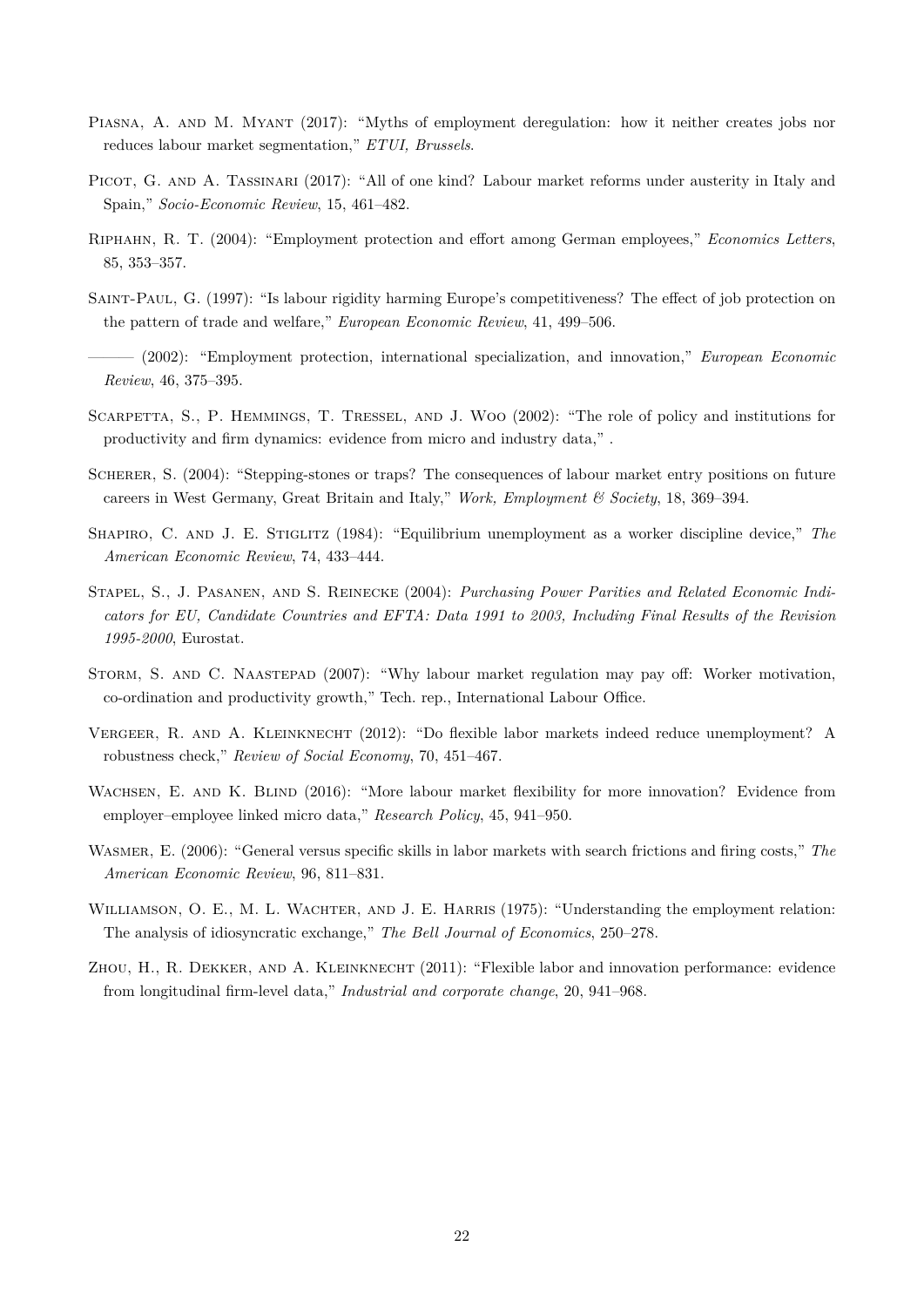- PIASNA, A. AND M. MYANT (2017): "Myths of employment deregulation: how it neither creates jobs nor reduces labour market segmentation," *ETUI, Brussels*.
- PICOT, G. AND A. TASSINARI (2017): "All of one kind? Labour market reforms under austerity in Italy and Spain," *Socio-Economic Review*, 15, 461–482.
- Riphahn, R. T. (2004): "Employment protection and effort among German employees," *Economics Letters*, 85, 353–357.
- Saint-Paul, G. (1997): "Is labour rigidity harming Europe's competitiveness? The effect of job protection on the pattern of trade and welfare," *European Economic Review*, 41, 499–506.
- ——— (2002): "Employment protection, international specialization, and innovation," *European Economic Review*, 46, 375–395.
- SCARPETTA, S., P. HEMMINGS, T. TRESSEL, AND J. WOO (2002): "The role of policy and institutions for productivity and firm dynamics: evidence from micro and industry data," .
- SCHERER, S. (2004): "Stepping-stones or traps? The consequences of labour market entry positions on future careers in West Germany, Great Britain and Italy," *Work, Employment & Society*, 18, 369–394.
- SHAPIRO, C. AND J. E. STIGLITZ (1984): "Equilibrium unemployment as a worker discipline device," The *American Economic Review*, 74, 433–444.
- Stapel, S., J. Pasanen, and S. Reinecke (2004): *Purchasing Power Parities and Related Economic Indicators for EU, Candidate Countries and EFTA: Data 1991 to 2003, Including Final Results of the Revision 1995-2000*, Eurostat.
- STORM, S. AND C. NAASTEPAD (2007): "Why labour market regulation may pay off: Worker motivation. co-ordination and productivity growth," Tech. rep., International Labour Office.
- Vergeer, R. and A. Kleinknecht (2012): "Do flexible labor markets indeed reduce unemployment? A robustness check," *Review of Social Economy*, 70, 451–467.
- WACHSEN, E. AND K. BLIND (2016): "More labour market flexibility for more innovation? Evidence from employer–employee linked micro data," *Research Policy*, 45, 941–950.
- Wasmer, E. (2006): "General versus specific skills in labor markets with search frictions and firing costs," *The American Economic Review*, 96, 811–831.
- WILLIAMSON, O. E., M. L. WACHTER, AND J. E. HARRIS (1975): "Understanding the employment relation: The analysis of idiosyncratic exchange," *The Bell Journal of Economics*, 250–278.
- ZHOU, H., R. DEKKER, AND A. KLEINKNECHT (2011): "Flexible labor and innovation performance: evidence from longitudinal firm-level data," *Industrial and corporate change*, 20, 941–968.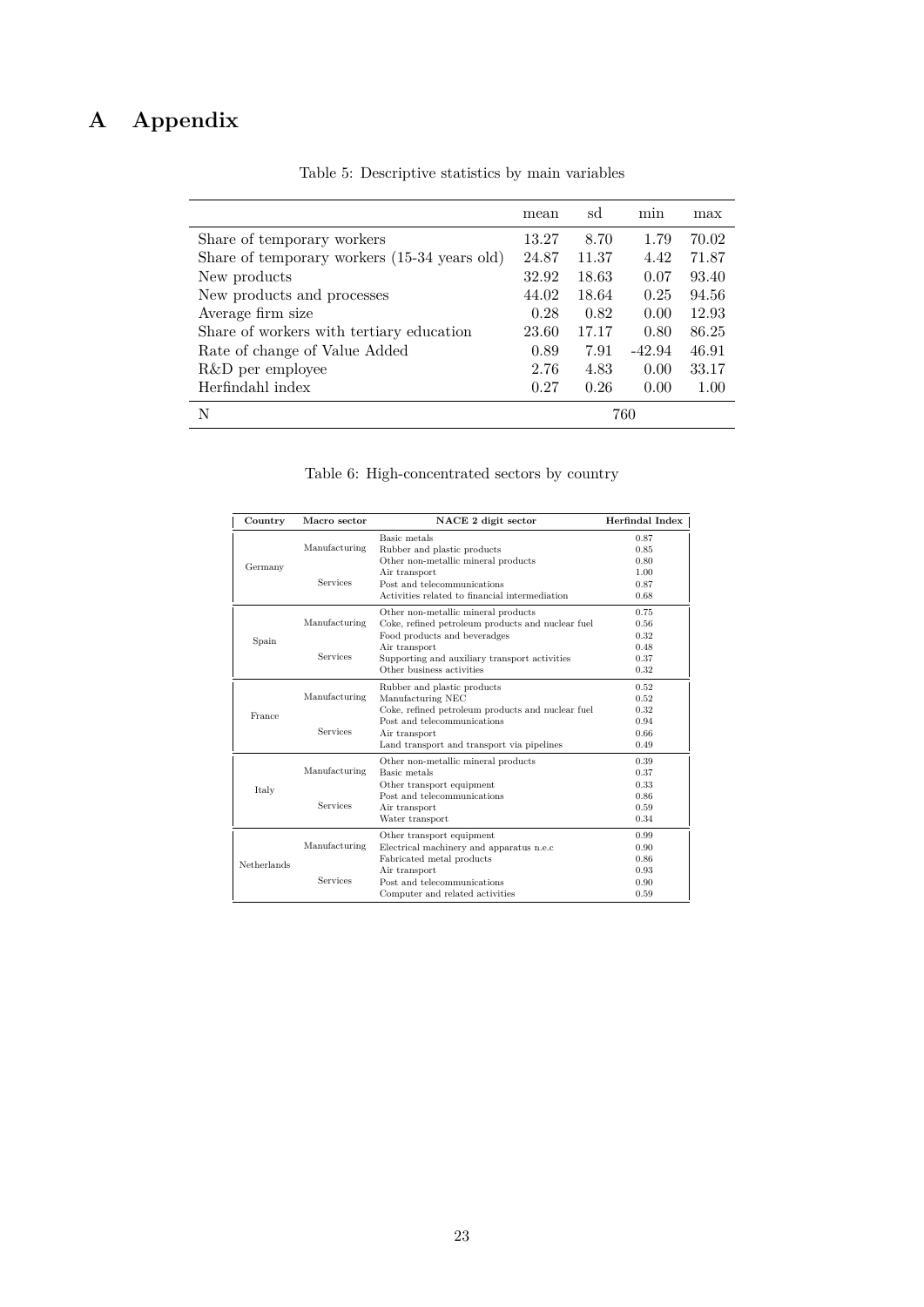# **A Appendix**

|                                              | mean  | sd    | min      | max   |
|----------------------------------------------|-------|-------|----------|-------|
| Share of temporary workers                   | 13.27 | 8.70  | 1.79     | 70.02 |
| Share of temporary workers (15-34 years old) | 24.87 | 11.37 | 4.42     | 71.87 |
| New products                                 | 32.92 | 18.63 | 0.07     | 93.40 |
| New products and processes                   | 44.02 | 18.64 | 0.25     | 94.56 |
| Average firm size                            | 0.28  | 0.82  | 0.00     | 12.93 |
| Share of workers with tertiary education     | 23.60 | 17.17 | 0.80     | 86.25 |
| Rate of change of Value Added                | 0.89  | 7.91  | $-42.94$ | 46.91 |
| R&D per employee                             | 2.76  | 4.83  | 0.00     | 33.17 |
| Herfindahl index                             | 0.27  | 0.26  | 0.00     | 1.00  |
| N                                            | 760   |       |          |       |

Table 5: Descriptive statistics by main variables

| Table 6: High-concentrated sectors by country |  |  |
|-----------------------------------------------|--|--|
|                                               |  |  |

| Country     | Macro sector    | NACE 2 digit sector                               | Herfindal Index |
|-------------|-----------------|---------------------------------------------------|-----------------|
|             |                 | Basic metals                                      | 0.87            |
|             | Manufacturing   | Rubber and plastic products                       | 0.85            |
| Germany     |                 | Other non-metallic mineral products               | 0.80            |
|             |                 | Air transport                                     | 1.00            |
|             | <b>Services</b> | Post and telecommunications                       | 0.87            |
|             |                 | Activities related to financial intermediation    | 0.68            |
|             |                 | Other non-metallic mineral products               | 0.75            |
|             | Manufacturing   | Coke, refined petroleum products and nuclear fuel | 0.56            |
|             |                 | Food products and beveradges                      | 0.32            |
| Spain       |                 | Air transport                                     | 0.48            |
|             | Services        | Supporting and auxiliary transport activities     | 0.37            |
|             |                 | Other business activities                         | 0.32            |
|             |                 | Rubber and plastic products                       | 0.52            |
|             | Manufacturing   | Manufacturing NEC                                 | 0.52            |
| France      |                 | Coke, refined petroleum products and nuclear fuel | 0.32            |
|             |                 | Post and telecommunications                       | 0.94            |
|             | Services        | Air transport                                     | 0.66            |
|             |                 | Land transport and transport via pipelines        | 0.49            |
|             |                 | Other non-metallic mineral products               | 0.39            |
|             | Manufacturing   | Basic metals                                      | 0.37            |
| Italy       |                 | Other transport equipment                         | 0.33            |
|             |                 | Post and telecommunications                       | 0.86            |
|             | <b>Services</b> | Air transport                                     | 0.59            |
|             |                 | Water transport                                   | 0.34            |
|             |                 | Other transport equipment                         | 0.99            |
|             | Manufacturing   | Electrical machinery and apparatus n.e.c          | 0.90            |
| Netherlands |                 | Fabricated metal products                         | 0.86            |
|             |                 | Air transport                                     | 0.93            |
|             | <b>Services</b> | Post and telecommunications                       | 0.90            |
|             |                 | Computer and related activities                   | 0.59            |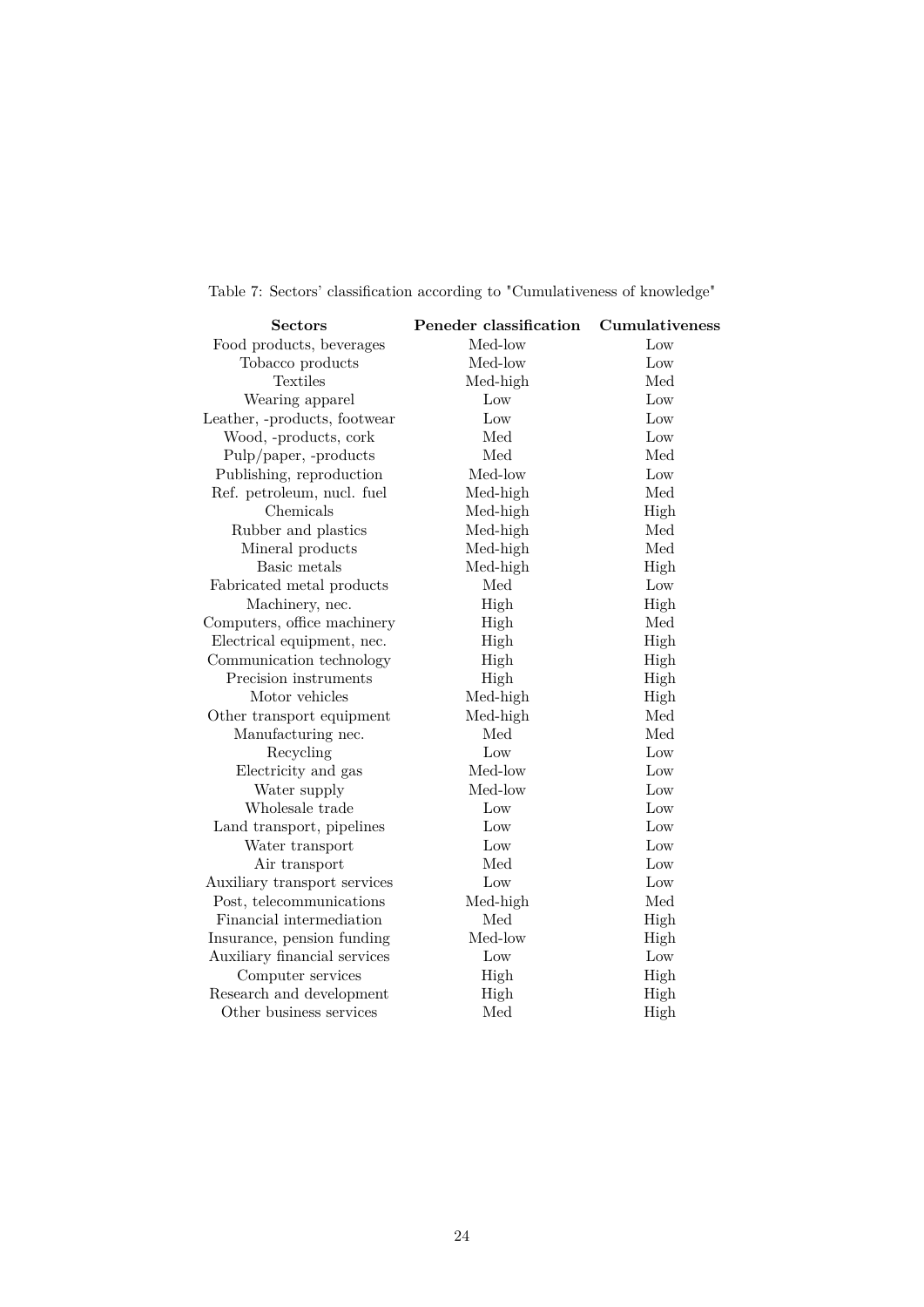| <b>Sectors</b>               | Peneder classification | Cumulativeness |
|------------------------------|------------------------|----------------|
| Food products, beverages     | Med-low                | Low            |
| Tobacco products             | Med-low                | Low            |
| Textiles                     | Med-high               | Med            |
| Wearing apparel              | Low                    | Low            |
| Leather, -products, footwear | Low                    | Low            |
| Wood, -products, cork        | Med                    | Low            |
| Pulp/paper, -products        | Med                    | Med            |
| Publishing, reproduction     | Med-low                | Low            |
| Ref. petroleum, nucl. fuel   | Med-high               | Med            |
| Chemicals                    | Med-high               | High           |
| Rubber and plastics          | Med-high               | Med            |
| Mineral products             | Med-high               | Med            |
| Basic metals                 | Med-high               | High           |
| Fabricated metal products    | Med                    | Low            |
| Machinery, nec.              | High                   | High           |
| Computers, office machinery  | High                   | Med            |
| Electrical equipment, nec.   | High                   | High           |
| Communication technology     | High                   | High           |
| Precision instruments        | High                   | High           |
| Motor vehicles               | Med-high               | High           |
| Other transport equipment    | Med-high               | Med            |
| Manufacturing nec.           | Med                    | Med            |
| Recycling                    | Low                    | Low            |
| Electricity and gas          | Med-low                | Low            |
| Water supply                 | Med-low                | Low            |
| Wholesale trade              | Low                    | Low            |
| Land transport, pipelines    | Low                    | Low            |
| Water transport              | Low                    | Low            |
| Air transport                | Med                    | Low            |
| Auxiliary transport services | Low                    | Low            |
| Post, telecommunications     | Med-high               | Med            |
| Financial intermediation     | Med                    | High           |
| Insurance, pension funding   | Med-low                | High           |
| Auxiliary financial services | Low                    | Low            |
| Computer services            | High                   | High           |
| Research and development     | High                   | High           |
| Other business services      | Med                    | High           |

Table 7: Sectors' classification according to "Cumulativeness of knowledge"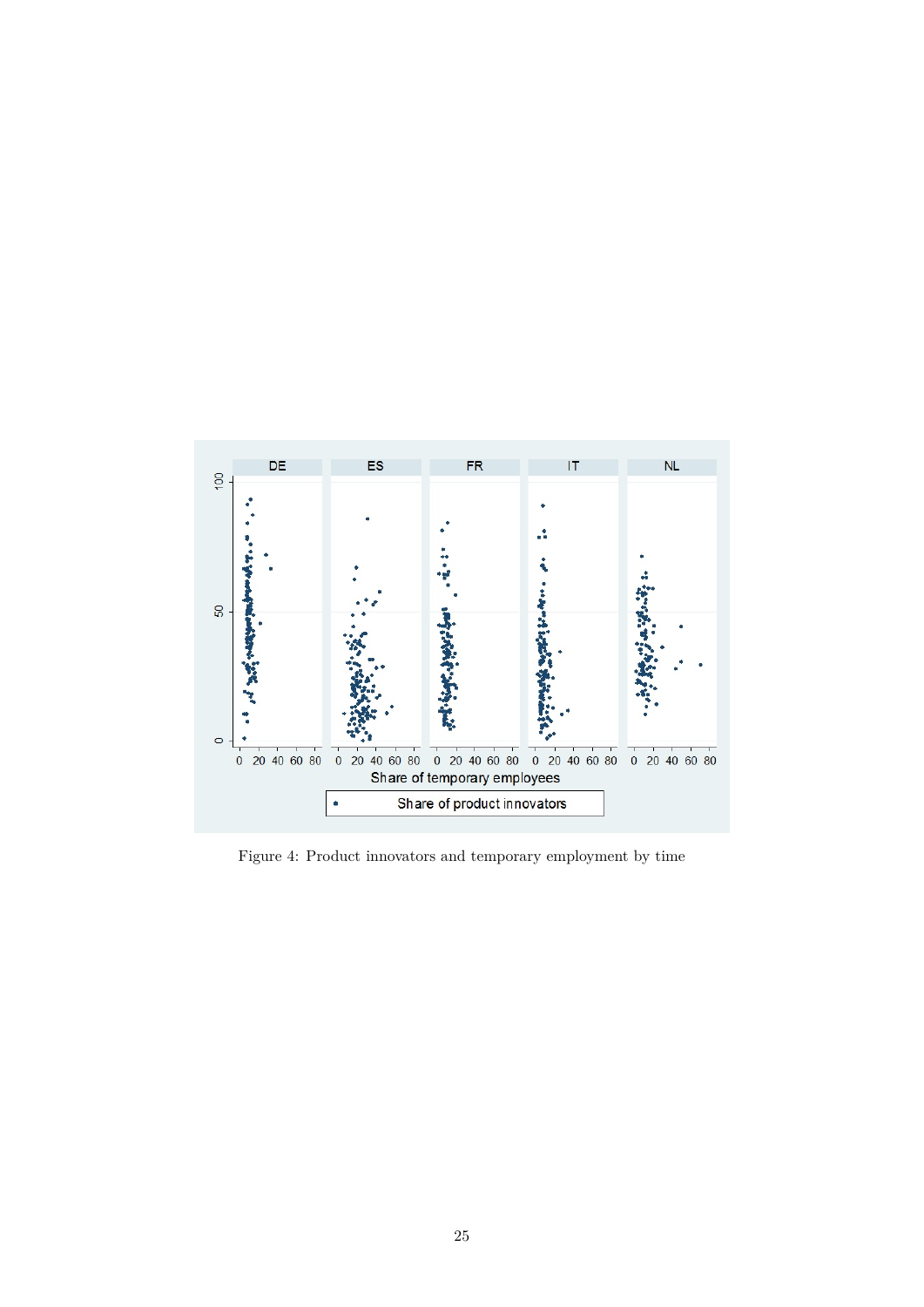

Figure 4: Product innovators and temporary employment by time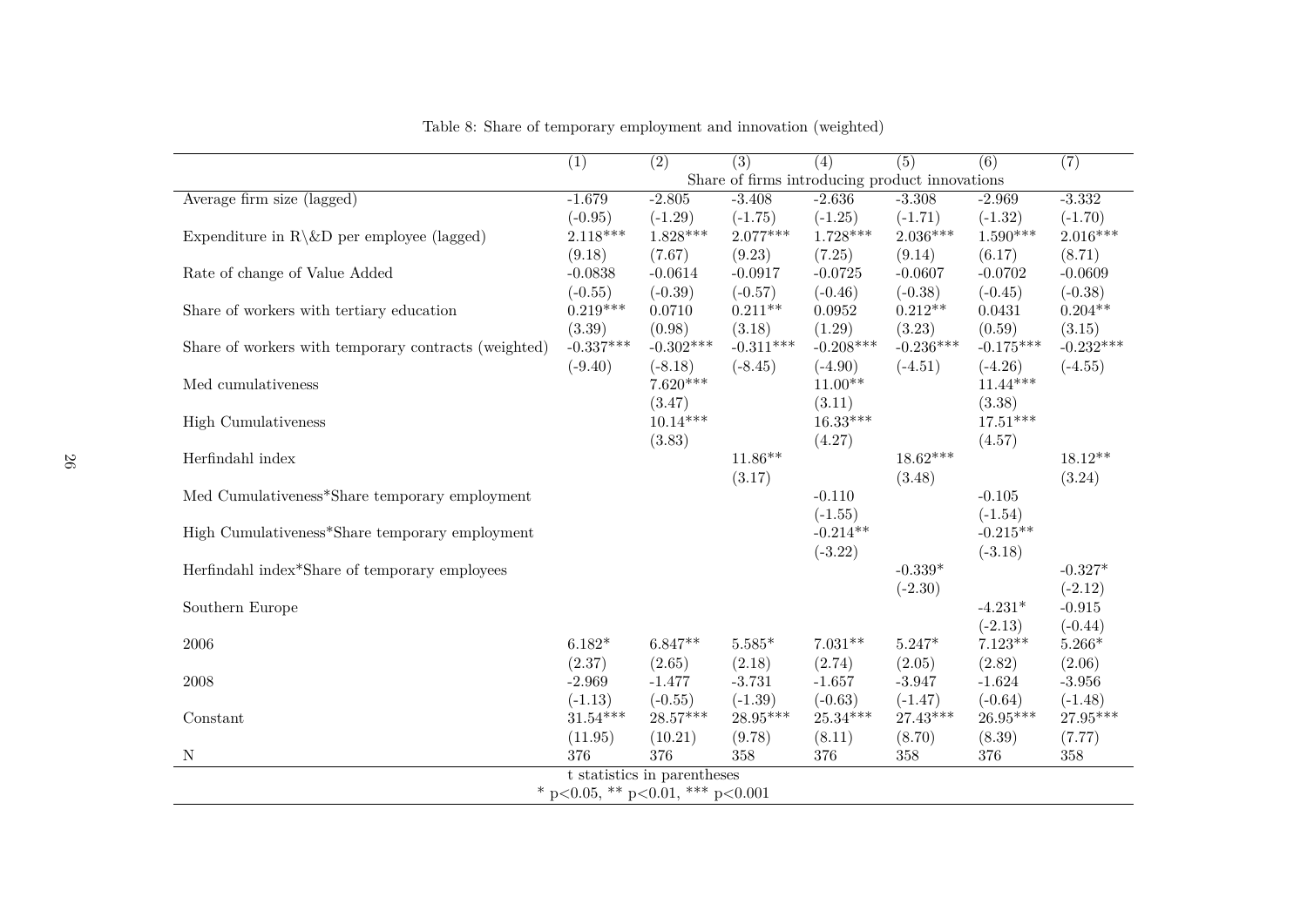|                                                      | $\overline{(1)}$                 | $\overline{(2)}$            | (3)         | $\overline{(4)}$                               | $\overline{(5)}$ | (6)         | (7)         |
|------------------------------------------------------|----------------------------------|-----------------------------|-------------|------------------------------------------------|------------------|-------------|-------------|
|                                                      |                                  |                             |             | Share of firms introducing product innovations |                  |             |             |
| Average firm size (lagged)                           | $-1.679$                         | $-2.805$                    | $-3.408$    | $-2.636$                                       | $-3.308$         | $-2.969$    | $-3.332$    |
|                                                      | $(-0.95)$                        | $(-1.29)$                   | $(-1.75)$   | $(-1.25)$                                      | $(-1.71)$        | $(-1.32)$   | $(-1.70)$   |
| Expenditure in $R\&D$ per employee (lagged)          | $2.118***$                       | $1.828***$                  | $2.077***$  | $1.728***$                                     | $2.036***$       | $1.590***$  | $2.016***$  |
|                                                      | (9.18)                           | (7.67)                      | (9.23)      | (7.25)                                         | (9.14)           | (6.17)      | (8.71)      |
| Rate of change of Value Added                        | $-0.0838$                        | $-0.0614$                   | $-0.0917$   | $-0.0725$                                      | $-0.0607$        | $-0.0702$   | $-0.0609$   |
|                                                      | $(-0.55)$                        | $(-0.39)$                   | $(-0.57)$   | $(-0.46)$                                      | $(-0.38)$        | $(-0.45)$   | $(-0.38)$   |
| Share of workers with tertiary education             | $0.219***$                       | 0.0710                      | $0.211**$   | 0.0952                                         | $0.212**$        | 0.0431      | $0.204**$   |
|                                                      | (3.39)                           | (0.98)                      | (3.18)      | (1.29)                                         | (3.23)           | (0.59)      | (3.15)      |
| Share of workers with temporary contracts (weighted) | $-0.337***$                      | $-0.302***$                 | $-0.311***$ | $-0.208***$                                    | $-0.236***$      | $-0.175***$ | $-0.232***$ |
|                                                      | $(-9.40)$                        | $(-8.18)$                   | $(-8.45)$   | $(-4.90)$                                      | $(-4.51)$        | $(-4.26)$   | $(-4.55)$   |
| Med cumulativeness                                   |                                  | $7.620***$                  |             | $11.00**$                                      |                  | $11.44***$  |             |
|                                                      |                                  | (3.47)                      |             | (3.11)                                         |                  | (3.38)      |             |
| <b>High Cumulativeness</b>                           |                                  | $10.14***$                  |             | $16.33***$                                     |                  | $17.51***$  |             |
|                                                      |                                  | (3.83)                      |             | (4.27)                                         |                  | (4.57)      |             |
| Herfindahl index                                     |                                  |                             | $11.86**$   |                                                | $18.62***$       |             | $18.12**$   |
|                                                      |                                  |                             | (3.17)      |                                                | (3.48)           |             | (3.24)      |
| Med Cumulativeness*Share temporary employment        |                                  |                             |             | $-0.110$                                       |                  | $-0.105$    |             |
|                                                      |                                  |                             |             | $(-1.55)$                                      |                  | $(-1.54)$   |             |
|                                                      |                                  |                             |             | $-0.214**$                                     |                  | $-0.215**$  |             |
| High Cumulativeness*Share temporary employment       |                                  |                             |             |                                                |                  |             |             |
|                                                      |                                  |                             |             | $(-3.22)$                                      |                  | $(-3.18)$   |             |
| Herfindahl index*Share of temporary employees        |                                  |                             |             |                                                | $-0.339*$        |             | $-0.327*$   |
|                                                      |                                  |                             |             |                                                | $(-2.30)$        |             | $(-2.12)$   |
| Southern Europe                                      |                                  |                             |             |                                                |                  | $-4.231*$   | $-0.915$    |
|                                                      |                                  |                             |             |                                                |                  | $(-2.13)$   | $(-0.44)$   |
| 2006                                                 | $6.182*$                         | $6.847**$                   | $5.585*$    | $7.031**$                                      | $5.247*$         | $7.123**$   | $5.266*$    |
|                                                      | (2.37)                           | (2.65)                      | (2.18)      | (2.74)                                         | (2.05)           | (2.82)      | (2.06)      |
| 2008                                                 | $-2.969$                         | $-1.477$                    | $-3.731$    | $-1.657$                                       | $-3.947$         | $-1.624$    | $-3.956$    |
|                                                      | $(-1.13)$                        | $(-0.55)$                   | $(-1.39)$   | $(-0.63)$                                      | $(-1.47)$        | $(-0.64)$   | $(-1.48)$   |
| Constant                                             | $31.54***$                       | $28.57***$                  | $28.95***$  | $25.34***$                                     | $27.43***$       | 26.95***    | $27.95***$  |
|                                                      | (11.95)                          | (10.21)                     | (9.78)      | (8.11)                                         | (8.70)           | (8.39)      | (7.77)      |
| $\mathbf N$                                          | 376                              | 376                         | 358         | 376                                            | $358\,$          | 376         | 358         |
|                                                      |                                  | t statistics in parentheses |             |                                                |                  |             |             |
|                                                      | * p<0.05, ** p<0.01, *** p<0.001 |                             |             |                                                |                  |             |             |

Table 8: Share of temporary employment and innovation (weighted)